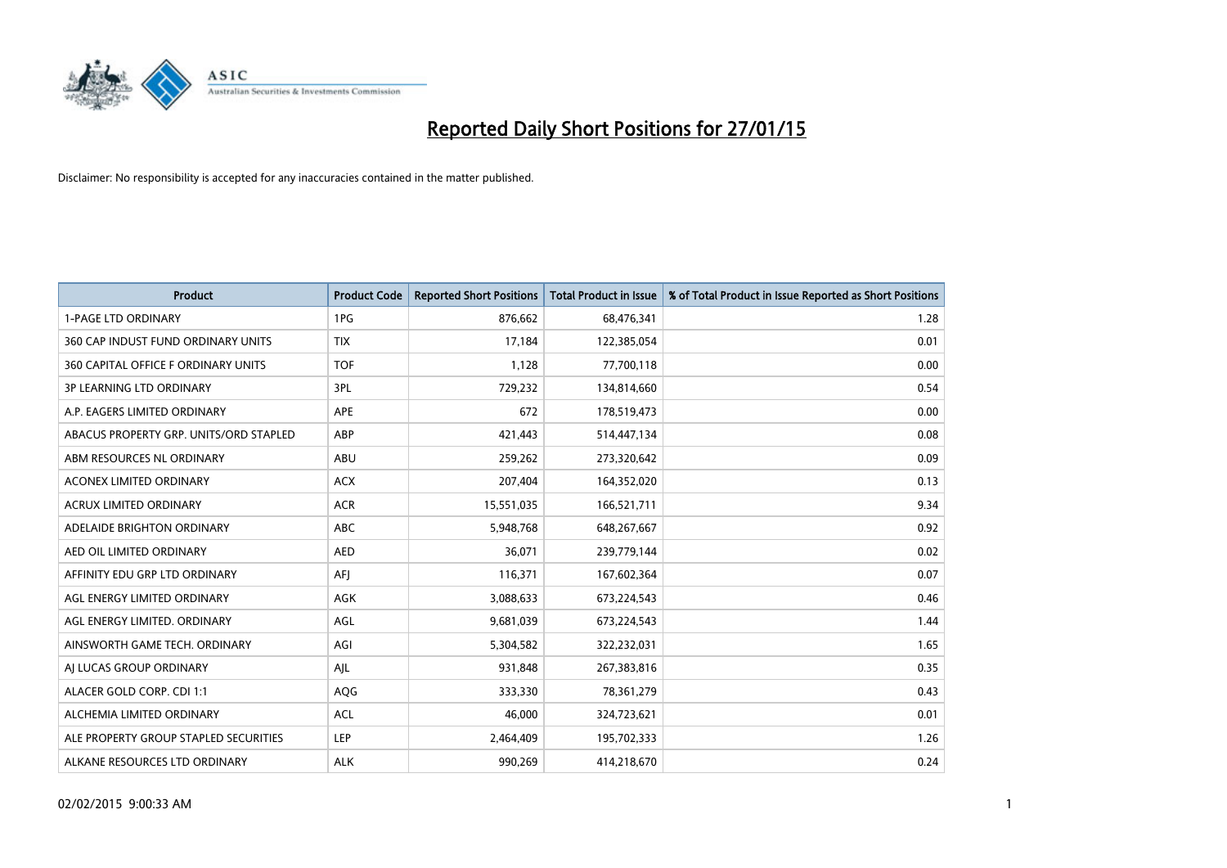

| <b>Product</b>                         | <b>Product Code</b> | <b>Reported Short Positions</b> | <b>Total Product in Issue</b> | % of Total Product in Issue Reported as Short Positions |
|----------------------------------------|---------------------|---------------------------------|-------------------------------|---------------------------------------------------------|
| <b>1-PAGE LTD ORDINARY</b>             | 1PG                 | 876,662                         | 68,476,341                    | 1.28                                                    |
| 360 CAP INDUST FUND ORDINARY UNITS     | <b>TIX</b>          | 17,184                          | 122,385,054                   | 0.01                                                    |
| 360 CAPITAL OFFICE F ORDINARY UNITS    | <b>TOF</b>          | 1,128                           | 77,700,118                    | 0.00                                                    |
| <b>3P LEARNING LTD ORDINARY</b>        | 3PL                 | 729,232                         | 134,814,660                   | 0.54                                                    |
| A.P. EAGERS LIMITED ORDINARY           | <b>APE</b>          | 672                             | 178,519,473                   | 0.00                                                    |
| ABACUS PROPERTY GRP. UNITS/ORD STAPLED | ABP                 | 421,443                         | 514,447,134                   | 0.08                                                    |
| ABM RESOURCES NL ORDINARY              | ABU                 | 259,262                         | 273,320,642                   | 0.09                                                    |
| ACONEX LIMITED ORDINARY                | <b>ACX</b>          | 207,404                         | 164,352,020                   | 0.13                                                    |
| <b>ACRUX LIMITED ORDINARY</b>          | <b>ACR</b>          | 15,551,035                      | 166,521,711                   | 9.34                                                    |
| ADELAIDE BRIGHTON ORDINARY             | <b>ABC</b>          | 5,948,768                       | 648,267,667                   | 0.92                                                    |
| AED OIL LIMITED ORDINARY               | <b>AED</b>          | 36,071                          | 239,779,144                   | 0.02                                                    |
| AFFINITY EDU GRP LTD ORDINARY          | AFJ                 | 116,371                         | 167,602,364                   | 0.07                                                    |
| AGL ENERGY LIMITED ORDINARY            | AGK                 | 3,088,633                       | 673,224,543                   | 0.46                                                    |
| AGL ENERGY LIMITED. ORDINARY           | AGL                 | 9,681,039                       | 673,224,543                   | 1.44                                                    |
| AINSWORTH GAME TECH. ORDINARY          | AGI                 | 5,304,582                       | 322,232,031                   | 1.65                                                    |
| AI LUCAS GROUP ORDINARY                | AJL                 | 931,848                         | 267,383,816                   | 0.35                                                    |
| ALACER GOLD CORP. CDI 1:1              | AQG                 | 333,330                         | 78,361,279                    | 0.43                                                    |
| ALCHEMIA LIMITED ORDINARY              | <b>ACL</b>          | 46,000                          | 324,723,621                   | 0.01                                                    |
| ALE PROPERTY GROUP STAPLED SECURITIES  | LEP                 | 2,464,409                       | 195,702,333                   | 1.26                                                    |
| ALKANE RESOURCES LTD ORDINARY          | <b>ALK</b>          | 990,269                         | 414,218,670                   | 0.24                                                    |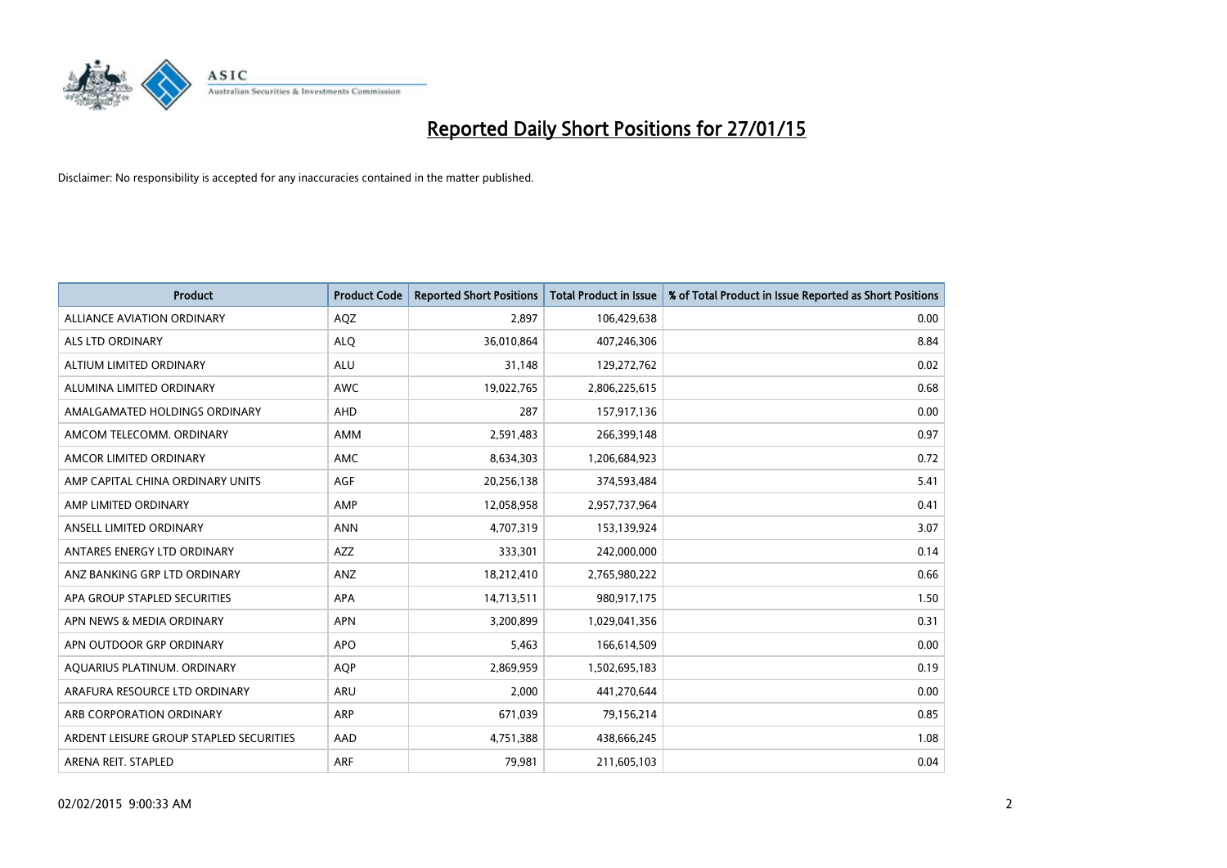

| <b>Product</b>                          | <b>Product Code</b> | <b>Reported Short Positions</b> | Total Product in Issue | % of Total Product in Issue Reported as Short Positions |
|-----------------------------------------|---------------------|---------------------------------|------------------------|---------------------------------------------------------|
| <b>ALLIANCE AVIATION ORDINARY</b>       | AQZ                 | 2.897                           | 106,429,638            | 0.00                                                    |
| ALS LTD ORDINARY                        | <b>ALQ</b>          | 36,010,864                      | 407,246,306            | 8.84                                                    |
| ALTIUM LIMITED ORDINARY                 | <b>ALU</b>          | 31,148                          | 129,272,762            | 0.02                                                    |
| ALUMINA LIMITED ORDINARY                | <b>AWC</b>          | 19,022,765                      | 2,806,225,615          | 0.68                                                    |
| AMALGAMATED HOLDINGS ORDINARY           | AHD                 | 287                             | 157,917,136            | 0.00                                                    |
| AMCOM TELECOMM. ORDINARY                | AMM                 | 2,591,483                       | 266,399,148            | 0.97                                                    |
| AMCOR LIMITED ORDINARY                  | <b>AMC</b>          | 8,634,303                       | 1,206,684,923          | 0.72                                                    |
| AMP CAPITAL CHINA ORDINARY UNITS        | AGF                 | 20,256,138                      | 374,593,484            | 5.41                                                    |
| AMP LIMITED ORDINARY                    | AMP                 | 12,058,958                      | 2,957,737,964          | 0.41                                                    |
| ANSELL LIMITED ORDINARY                 | <b>ANN</b>          | 4,707,319                       | 153,139,924            | 3.07                                                    |
| ANTARES ENERGY LTD ORDINARY             | AZZ                 | 333,301                         | 242,000,000            | 0.14                                                    |
| ANZ BANKING GRP LTD ORDINARY            | ANZ                 | 18,212,410                      | 2,765,980,222          | 0.66                                                    |
| APA GROUP STAPLED SECURITIES            | APA                 | 14,713,511                      | 980,917,175            | 1.50                                                    |
| APN NEWS & MEDIA ORDINARY               | <b>APN</b>          | 3,200,899                       | 1,029,041,356          | 0.31                                                    |
| APN OUTDOOR GRP ORDINARY                | <b>APO</b>          | 5,463                           | 166,614,509            | 0.00                                                    |
| AQUARIUS PLATINUM. ORDINARY             | <b>AQP</b>          | 2,869,959                       | 1,502,695,183          | 0.19                                                    |
| ARAFURA RESOURCE LTD ORDINARY           | ARU                 | 2,000                           | 441,270,644            | 0.00                                                    |
| ARB CORPORATION ORDINARY                | <b>ARP</b>          | 671,039                         | 79,156,214             | 0.85                                                    |
| ARDENT LEISURE GROUP STAPLED SECURITIES | AAD                 | 4,751,388                       | 438,666,245            | 1.08                                                    |
| ARENA REIT. STAPLED                     | <b>ARF</b>          | 79,981                          | 211,605,103            | 0.04                                                    |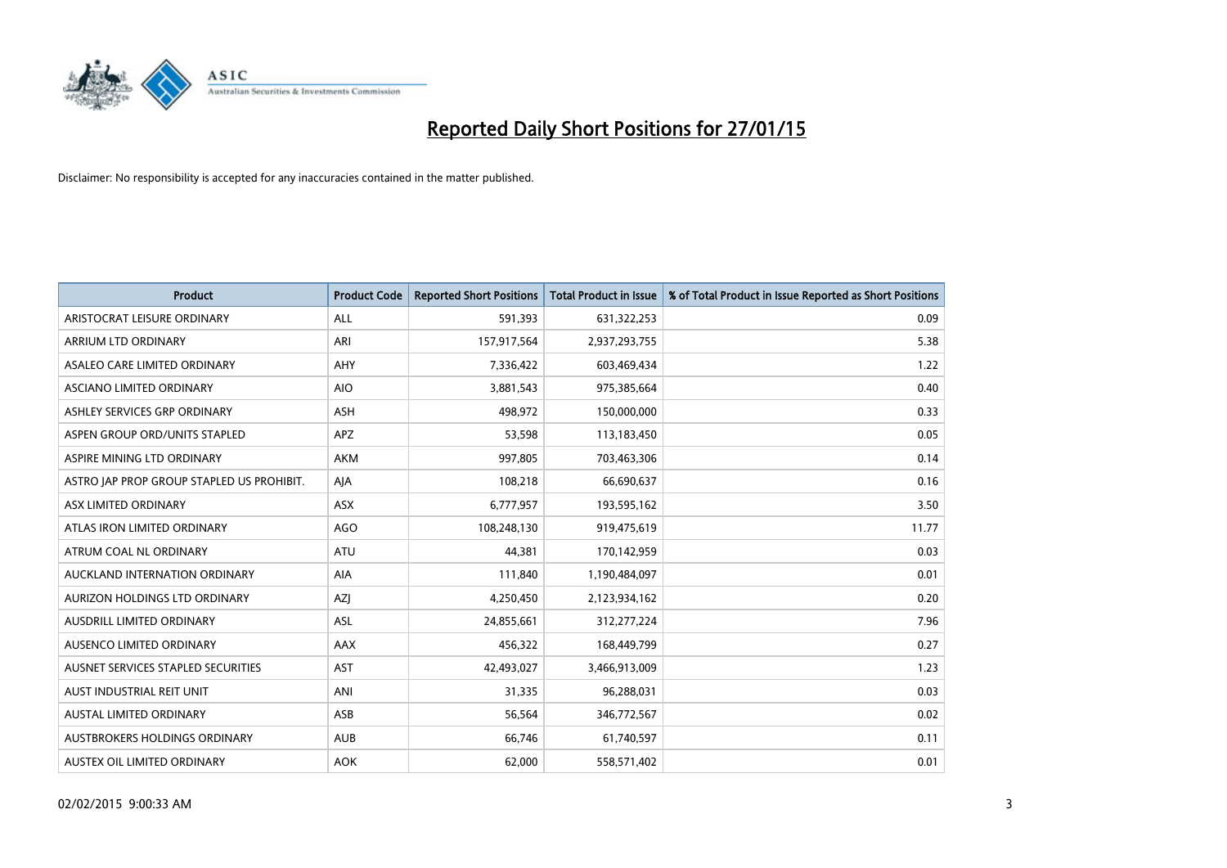

| <b>Product</b>                            | <b>Product Code</b> | <b>Reported Short Positions</b> | <b>Total Product in Issue</b> | % of Total Product in Issue Reported as Short Positions |
|-------------------------------------------|---------------------|---------------------------------|-------------------------------|---------------------------------------------------------|
| ARISTOCRAT LEISURE ORDINARY               | ALL                 | 591,393                         | 631,322,253                   | 0.09                                                    |
| ARRIUM LTD ORDINARY                       | ARI                 | 157,917,564                     | 2,937,293,755                 | 5.38                                                    |
| ASALEO CARE LIMITED ORDINARY              | AHY                 | 7,336,422                       | 603,469,434                   | 1.22                                                    |
| ASCIANO LIMITED ORDINARY                  | <b>AIO</b>          | 3,881,543                       | 975,385,664                   | 0.40                                                    |
| ASHLEY SERVICES GRP ORDINARY              | <b>ASH</b>          | 498,972                         | 150,000,000                   | 0.33                                                    |
| ASPEN GROUP ORD/UNITS STAPLED             | <b>APZ</b>          | 53,598                          | 113,183,450                   | 0.05                                                    |
| ASPIRE MINING LTD ORDINARY                | <b>AKM</b>          | 997,805                         | 703,463,306                   | 0.14                                                    |
| ASTRO JAP PROP GROUP STAPLED US PROHIBIT. | AJA                 | 108,218                         | 66,690,637                    | 0.16                                                    |
| ASX LIMITED ORDINARY                      | ASX                 | 6,777,957                       | 193,595,162                   | 3.50                                                    |
| ATLAS IRON LIMITED ORDINARY               | <b>AGO</b>          | 108,248,130                     | 919,475,619                   | 11.77                                                   |
| ATRUM COAL NL ORDINARY                    | <b>ATU</b>          | 44,381                          | 170,142,959                   | 0.03                                                    |
| AUCKLAND INTERNATION ORDINARY             | AIA                 | 111,840                         | 1,190,484,097                 | 0.01                                                    |
| AURIZON HOLDINGS LTD ORDINARY             | AZJ                 | 4,250,450                       | 2,123,934,162                 | 0.20                                                    |
| AUSDRILL LIMITED ORDINARY                 | ASL                 | 24,855,661                      | 312,277,224                   | 7.96                                                    |
| AUSENCO LIMITED ORDINARY                  | AAX                 | 456,322                         | 168,449,799                   | 0.27                                                    |
| AUSNET SERVICES STAPLED SECURITIES        | AST                 | 42,493,027                      | 3,466,913,009                 | 1.23                                                    |
| AUST INDUSTRIAL REIT UNIT                 | ANI                 | 31,335                          | 96,288,031                    | 0.03                                                    |
| <b>AUSTAL LIMITED ORDINARY</b>            | ASB                 | 56,564                          | 346,772,567                   | 0.02                                                    |
| AUSTBROKERS HOLDINGS ORDINARY             | <b>AUB</b>          | 66,746                          | 61,740,597                    | 0.11                                                    |
| AUSTEX OIL LIMITED ORDINARY               | <b>AOK</b>          | 62,000                          | 558,571,402                   | 0.01                                                    |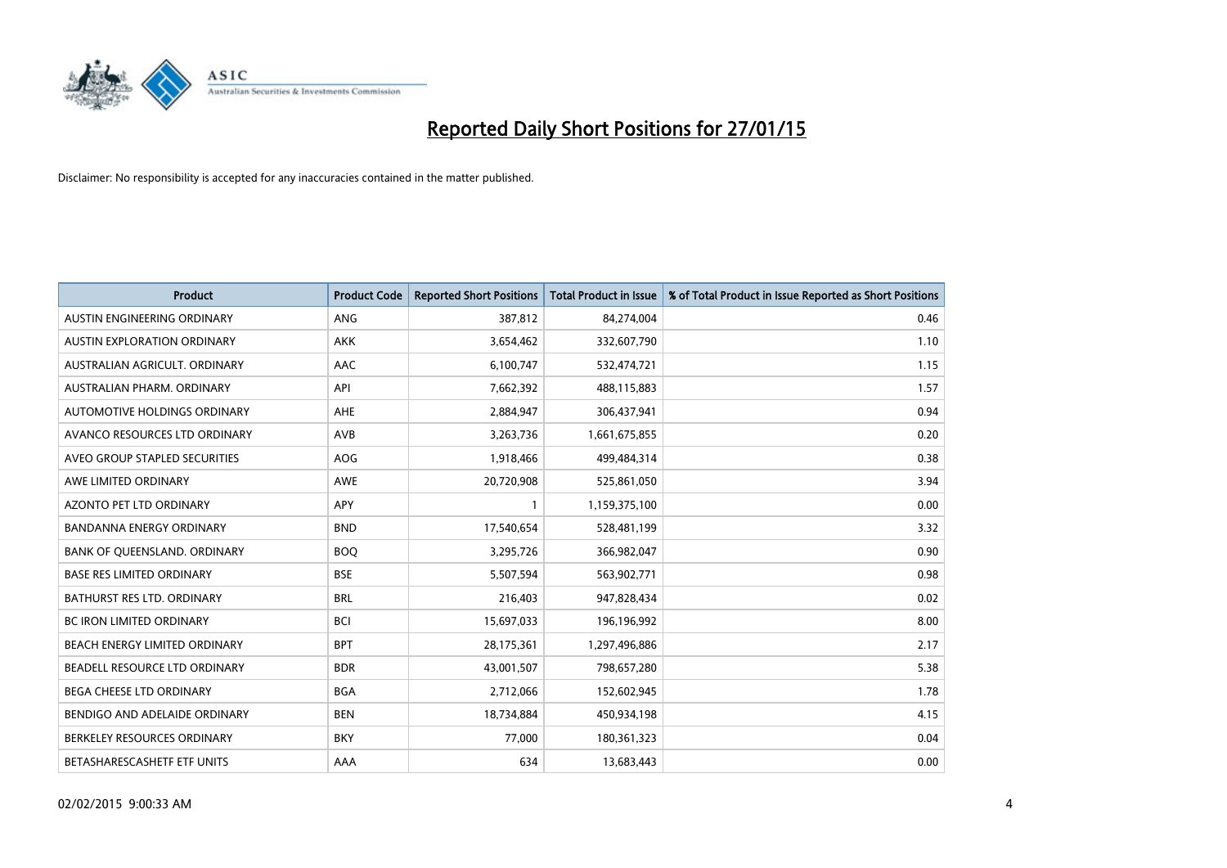

| <b>Product</b>                   | <b>Product Code</b> | <b>Reported Short Positions</b> | <b>Total Product in Issue</b> | % of Total Product in Issue Reported as Short Positions |
|----------------------------------|---------------------|---------------------------------|-------------------------------|---------------------------------------------------------|
| AUSTIN ENGINEERING ORDINARY      | ANG                 | 387,812                         | 84,274,004                    | 0.46                                                    |
| AUSTIN EXPLORATION ORDINARY      | <b>AKK</b>          | 3,654,462                       | 332,607,790                   | 1.10                                                    |
| AUSTRALIAN AGRICULT. ORDINARY    | AAC                 | 6,100,747                       | 532,474,721                   | 1.15                                                    |
| AUSTRALIAN PHARM. ORDINARY       | API                 | 7,662,392                       | 488,115,883                   | 1.57                                                    |
| AUTOMOTIVE HOLDINGS ORDINARY     | AHE                 | 2,884,947                       | 306,437,941                   | 0.94                                                    |
| AVANCO RESOURCES LTD ORDINARY    | AVB                 | 3,263,736                       | 1,661,675,855                 | 0.20                                                    |
| AVEO GROUP STAPLED SECURITIES    | AOG                 | 1,918,466                       | 499,484,314                   | 0.38                                                    |
| AWE LIMITED ORDINARY             | <b>AWE</b>          | 20,720,908                      | 525,861,050                   | 3.94                                                    |
| AZONTO PET LTD ORDINARY          | APY                 | $\mathbf{1}$                    | 1,159,375,100                 | 0.00                                                    |
| <b>BANDANNA ENERGY ORDINARY</b>  | <b>BND</b>          | 17,540,654                      | 528,481,199                   | 3.32                                                    |
| BANK OF QUEENSLAND. ORDINARY     | <b>BOO</b>          | 3,295,726                       | 366,982,047                   | 0.90                                                    |
| <b>BASE RES LIMITED ORDINARY</b> | <b>BSE</b>          | 5,507,594                       | 563,902,771                   | 0.98                                                    |
| BATHURST RES LTD. ORDINARY       | <b>BRL</b>          | 216,403                         | 947,828,434                   | 0.02                                                    |
| <b>BC IRON LIMITED ORDINARY</b>  | <b>BCI</b>          | 15,697,033                      | 196,196,992                   | 8.00                                                    |
| BEACH ENERGY LIMITED ORDINARY    | <b>BPT</b>          | 28,175,361                      | 1,297,496,886                 | 2.17                                                    |
| BEADELL RESOURCE LTD ORDINARY    | <b>BDR</b>          | 43,001,507                      | 798,657,280                   | 5.38                                                    |
| <b>BEGA CHEESE LTD ORDINARY</b>  | <b>BGA</b>          | 2,712,066                       | 152,602,945                   | 1.78                                                    |
| BENDIGO AND ADELAIDE ORDINARY    | <b>BEN</b>          | 18,734,884                      | 450,934,198                   | 4.15                                                    |
| BERKELEY RESOURCES ORDINARY      | <b>BKY</b>          | 77,000                          | 180,361,323                   | 0.04                                                    |
| BETASHARESCASHETF ETF UNITS      | AAA                 | 634                             | 13,683,443                    | 0.00                                                    |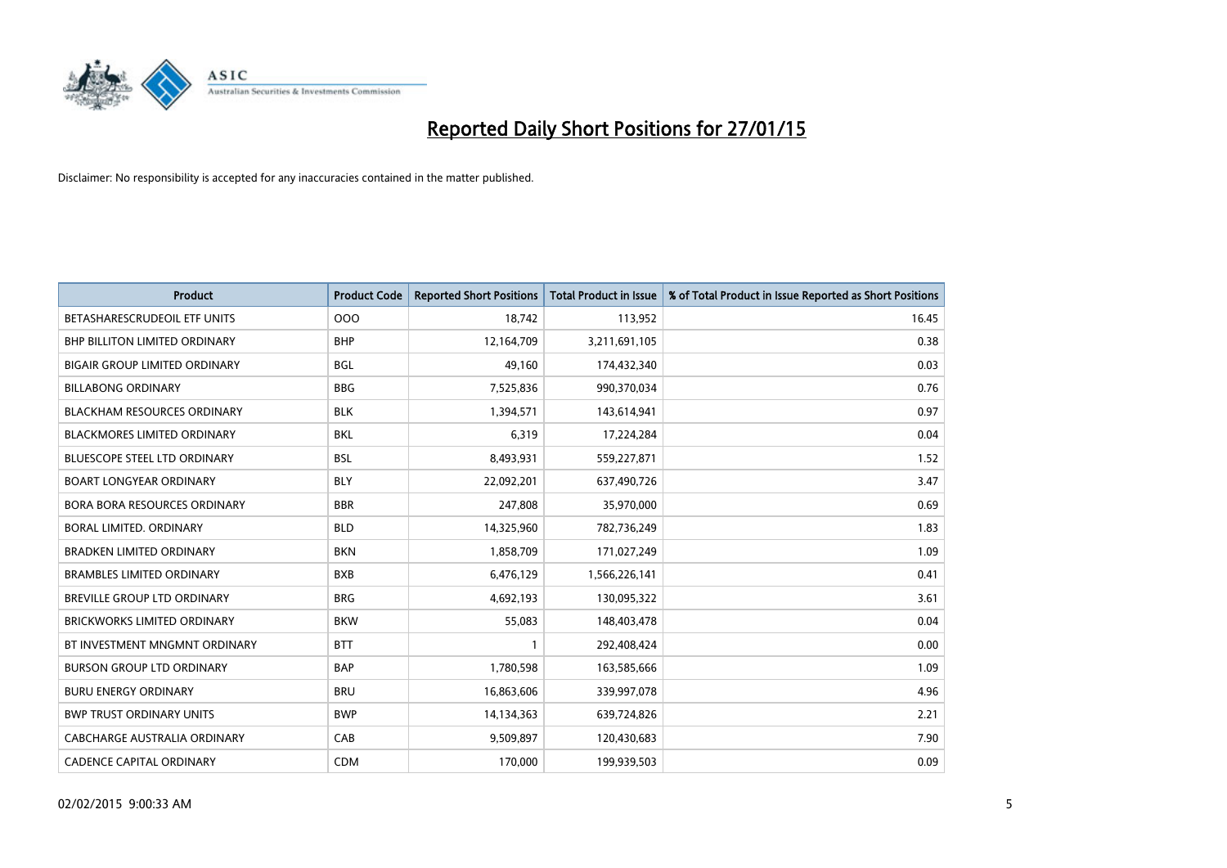

| <b>Product</b>                       | <b>Product Code</b> | <b>Reported Short Positions</b> | <b>Total Product in Issue</b> | % of Total Product in Issue Reported as Short Positions |
|--------------------------------------|---------------------|---------------------------------|-------------------------------|---------------------------------------------------------|
| BETASHARESCRUDEOIL ETF UNITS         | 000                 | 18,742                          | 113,952                       | 16.45                                                   |
| BHP BILLITON LIMITED ORDINARY        | <b>BHP</b>          | 12,164,709                      | 3,211,691,105                 | 0.38                                                    |
| <b>BIGAIR GROUP LIMITED ORDINARY</b> | <b>BGL</b>          | 49,160                          | 174,432,340                   | 0.03                                                    |
| <b>BILLABONG ORDINARY</b>            | <b>BBG</b>          | 7,525,836                       | 990,370,034                   | 0.76                                                    |
| <b>BLACKHAM RESOURCES ORDINARY</b>   | <b>BLK</b>          | 1,394,571                       | 143,614,941                   | 0.97                                                    |
| <b>BLACKMORES LIMITED ORDINARY</b>   | <b>BKL</b>          | 6,319                           | 17,224,284                    | 0.04                                                    |
| <b>BLUESCOPE STEEL LTD ORDINARY</b>  | <b>BSL</b>          | 8,493,931                       | 559,227,871                   | 1.52                                                    |
| <b>BOART LONGYEAR ORDINARY</b>       | <b>BLY</b>          | 22,092,201                      | 637,490,726                   | 3.47                                                    |
| <b>BORA BORA RESOURCES ORDINARY</b>  | <b>BBR</b>          | 247,808                         | 35,970,000                    | 0.69                                                    |
| <b>BORAL LIMITED, ORDINARY</b>       | <b>BLD</b>          | 14,325,960                      | 782,736,249                   | 1.83                                                    |
| <b>BRADKEN LIMITED ORDINARY</b>      | <b>BKN</b>          | 1,858,709                       | 171,027,249                   | 1.09                                                    |
| <b>BRAMBLES LIMITED ORDINARY</b>     | <b>BXB</b>          | 6,476,129                       | 1,566,226,141                 | 0.41                                                    |
| BREVILLE GROUP LTD ORDINARY          | <b>BRG</b>          | 4,692,193                       | 130,095,322                   | 3.61                                                    |
| <b>BRICKWORKS LIMITED ORDINARY</b>   | <b>BKW</b>          | 55,083                          | 148,403,478                   | 0.04                                                    |
| BT INVESTMENT MNGMNT ORDINARY        | <b>BTT</b>          | $\mathbf{1}$                    | 292,408,424                   | 0.00                                                    |
| <b>BURSON GROUP LTD ORDINARY</b>     | <b>BAP</b>          | 1,780,598                       | 163,585,666                   | 1.09                                                    |
| <b>BURU ENERGY ORDINARY</b>          | <b>BRU</b>          | 16,863,606                      | 339,997,078                   | 4.96                                                    |
| <b>BWP TRUST ORDINARY UNITS</b>      | <b>BWP</b>          | 14,134,363                      | 639,724,826                   | 2.21                                                    |
| CABCHARGE AUSTRALIA ORDINARY         | CAB                 | 9,509,897                       | 120,430,683                   | 7.90                                                    |
| <b>CADENCE CAPITAL ORDINARY</b>      | <b>CDM</b>          | 170,000                         | 199,939,503                   | 0.09                                                    |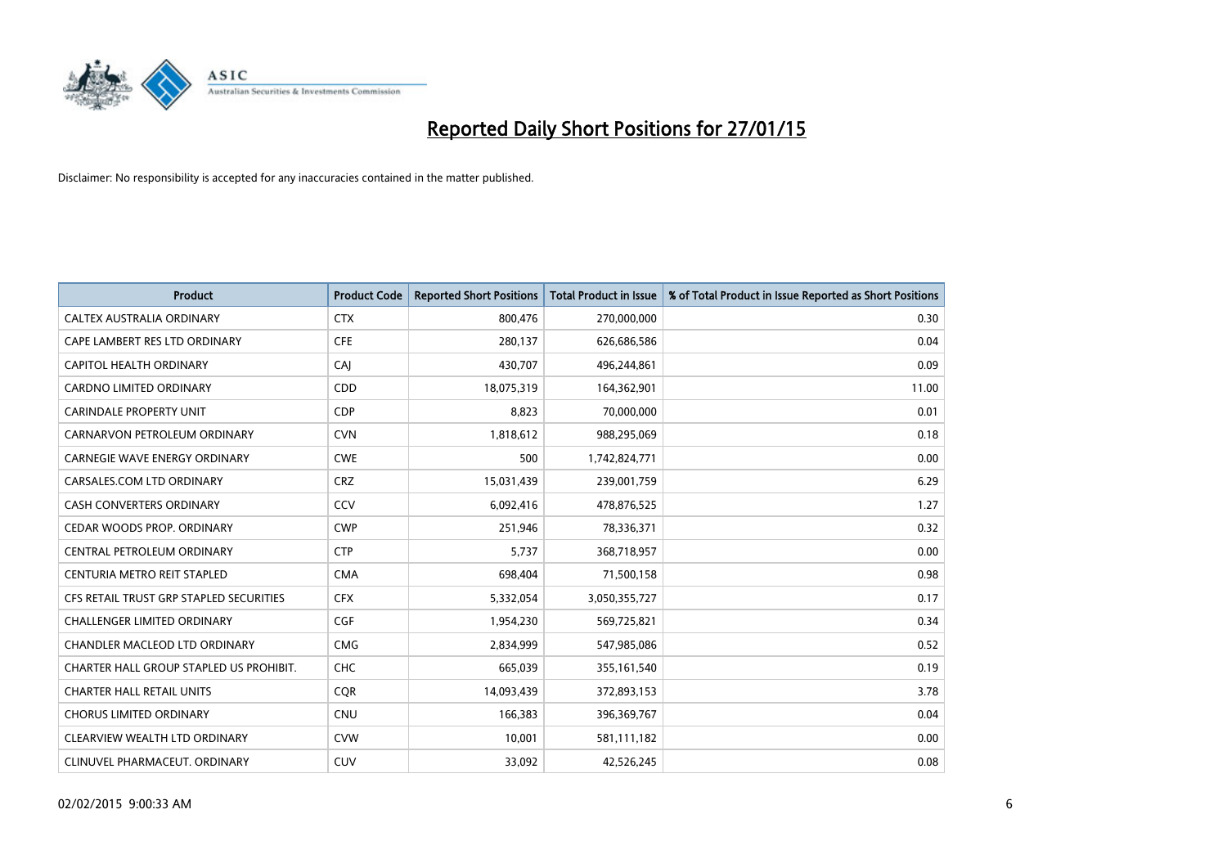

| <b>Product</b>                          | <b>Product Code</b> | <b>Reported Short Positions</b> | <b>Total Product in Issue</b> | % of Total Product in Issue Reported as Short Positions |
|-----------------------------------------|---------------------|---------------------------------|-------------------------------|---------------------------------------------------------|
| CALTEX AUSTRALIA ORDINARY               | <b>CTX</b>          | 800,476                         | 270,000,000                   | 0.30                                                    |
| CAPE LAMBERT RES LTD ORDINARY           | <b>CFE</b>          | 280,137                         | 626,686,586                   | 0.04                                                    |
| CAPITOL HEALTH ORDINARY                 | <b>CAJ</b>          | 430,707                         | 496,244,861                   | 0.09                                                    |
| <b>CARDNO LIMITED ORDINARY</b>          | CDD                 | 18,075,319                      | 164,362,901                   | 11.00                                                   |
| <b>CARINDALE PROPERTY UNIT</b>          | <b>CDP</b>          | 8,823                           | 70,000,000                    | 0.01                                                    |
| CARNARVON PETROLEUM ORDINARY            | <b>CVN</b>          | 1,818,612                       | 988,295,069                   | 0.18                                                    |
| <b>CARNEGIE WAVE ENERGY ORDINARY</b>    | <b>CWE</b>          | 500                             | 1,742,824,771                 | 0.00                                                    |
| CARSALES.COM LTD ORDINARY               | <b>CRZ</b>          | 15,031,439                      | 239,001,759                   | 6.29                                                    |
| <b>CASH CONVERTERS ORDINARY</b>         | CCV                 | 6,092,416                       | 478,876,525                   | 1.27                                                    |
| CEDAR WOODS PROP. ORDINARY              | <b>CWP</b>          | 251,946                         | 78,336,371                    | 0.32                                                    |
| CENTRAL PETROLEUM ORDINARY              | <b>CTP</b>          | 5,737                           | 368,718,957                   | 0.00                                                    |
| CENTURIA METRO REIT STAPLED             | <b>CMA</b>          | 698,404                         | 71,500,158                    | 0.98                                                    |
| CFS RETAIL TRUST GRP STAPLED SECURITIES | <b>CFX</b>          | 5,332,054                       | 3,050,355,727                 | 0.17                                                    |
| <b>CHALLENGER LIMITED ORDINARY</b>      | <b>CGF</b>          | 1,954,230                       | 569,725,821                   | 0.34                                                    |
| <b>CHANDLER MACLEOD LTD ORDINARY</b>    | <b>CMG</b>          | 2,834,999                       | 547,985,086                   | 0.52                                                    |
| CHARTER HALL GROUP STAPLED US PROHIBIT. | <b>CHC</b>          | 665,039                         | 355,161,540                   | 0.19                                                    |
| <b>CHARTER HALL RETAIL UNITS</b>        | <b>CQR</b>          | 14,093,439                      | 372,893,153                   | 3.78                                                    |
| <b>CHORUS LIMITED ORDINARY</b>          | CNU                 | 166,383                         | 396,369,767                   | 0.04                                                    |
| CLEARVIEW WEALTH LTD ORDINARY           | <b>CVW</b>          | 10,001                          | 581,111,182                   | 0.00                                                    |
| CLINUVEL PHARMACEUT. ORDINARY           | <b>CUV</b>          | 33,092                          | 42,526,245                    | 0.08                                                    |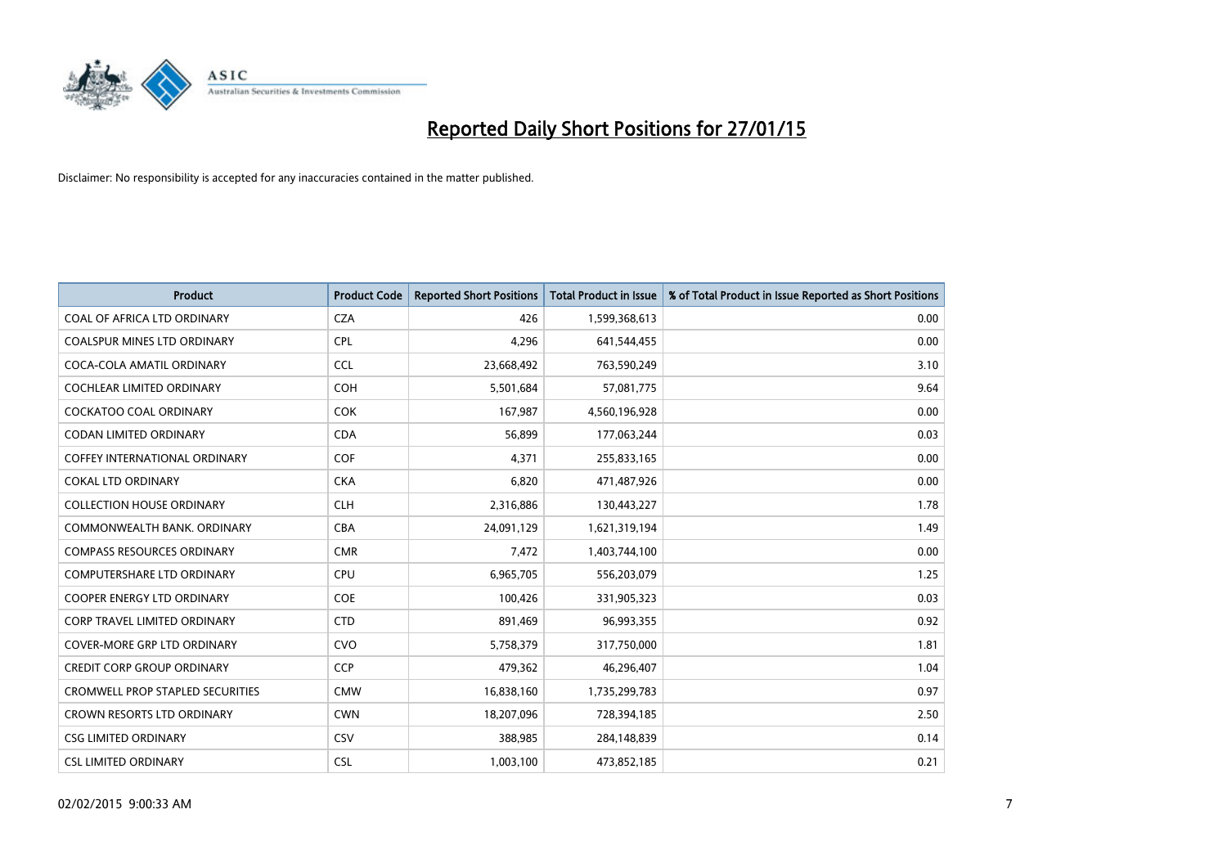

| <b>Product</b>                          | <b>Product Code</b> | <b>Reported Short Positions</b> | <b>Total Product in Issue</b> | % of Total Product in Issue Reported as Short Positions |
|-----------------------------------------|---------------------|---------------------------------|-------------------------------|---------------------------------------------------------|
| COAL OF AFRICA LTD ORDINARY             | <b>CZA</b>          | 426                             | 1,599,368,613                 | 0.00                                                    |
| COALSPUR MINES LTD ORDINARY             | <b>CPL</b>          | 4,296                           | 641,544,455                   | 0.00                                                    |
| COCA-COLA AMATIL ORDINARY               | <b>CCL</b>          | 23,668,492                      | 763,590,249                   | 3.10                                                    |
| COCHLEAR LIMITED ORDINARY               | <b>COH</b>          | 5,501,684                       | 57,081,775                    | 9.64                                                    |
| <b>COCKATOO COAL ORDINARY</b>           | <b>COK</b>          | 167,987                         | 4,560,196,928                 | 0.00                                                    |
| <b>CODAN LIMITED ORDINARY</b>           | <b>CDA</b>          | 56,899                          | 177,063,244                   | 0.03                                                    |
| COFFEY INTERNATIONAL ORDINARY           | <b>COF</b>          | 4,371                           | 255,833,165                   | 0.00                                                    |
| <b>COKAL LTD ORDINARY</b>               | <b>CKA</b>          | 6,820                           | 471,487,926                   | 0.00                                                    |
| <b>COLLECTION HOUSE ORDINARY</b>        | <b>CLH</b>          | 2,316,886                       | 130,443,227                   | 1.78                                                    |
| COMMONWEALTH BANK, ORDINARY             | <b>CBA</b>          | 24,091,129                      | 1,621,319,194                 | 1.49                                                    |
| <b>COMPASS RESOURCES ORDINARY</b>       | <b>CMR</b>          | 7,472                           | 1,403,744,100                 | 0.00                                                    |
| <b>COMPUTERSHARE LTD ORDINARY</b>       | <b>CPU</b>          | 6,965,705                       | 556,203,079                   | 1.25                                                    |
| COOPER ENERGY LTD ORDINARY              | <b>COE</b>          | 100,426                         | 331,905,323                   | 0.03                                                    |
| <b>CORP TRAVEL LIMITED ORDINARY</b>     | <b>CTD</b>          | 891,469                         | 96,993,355                    | 0.92                                                    |
| <b>COVER-MORE GRP LTD ORDINARY</b>      | <b>CVO</b>          | 5,758,379                       | 317,750,000                   | 1.81                                                    |
| <b>CREDIT CORP GROUP ORDINARY</b>       | <b>CCP</b>          | 479,362                         | 46,296,407                    | 1.04                                                    |
| <b>CROMWELL PROP STAPLED SECURITIES</b> | <b>CMW</b>          | 16,838,160                      | 1,735,299,783                 | 0.97                                                    |
| CROWN RESORTS LTD ORDINARY              | <b>CWN</b>          | 18,207,096                      | 728,394,185                   | 2.50                                                    |
| <b>CSG LIMITED ORDINARY</b>             | CSV                 | 388,985                         | 284,148,839                   | 0.14                                                    |
| <b>CSL LIMITED ORDINARY</b>             | <b>CSL</b>          | 1,003,100                       | 473,852,185                   | 0.21                                                    |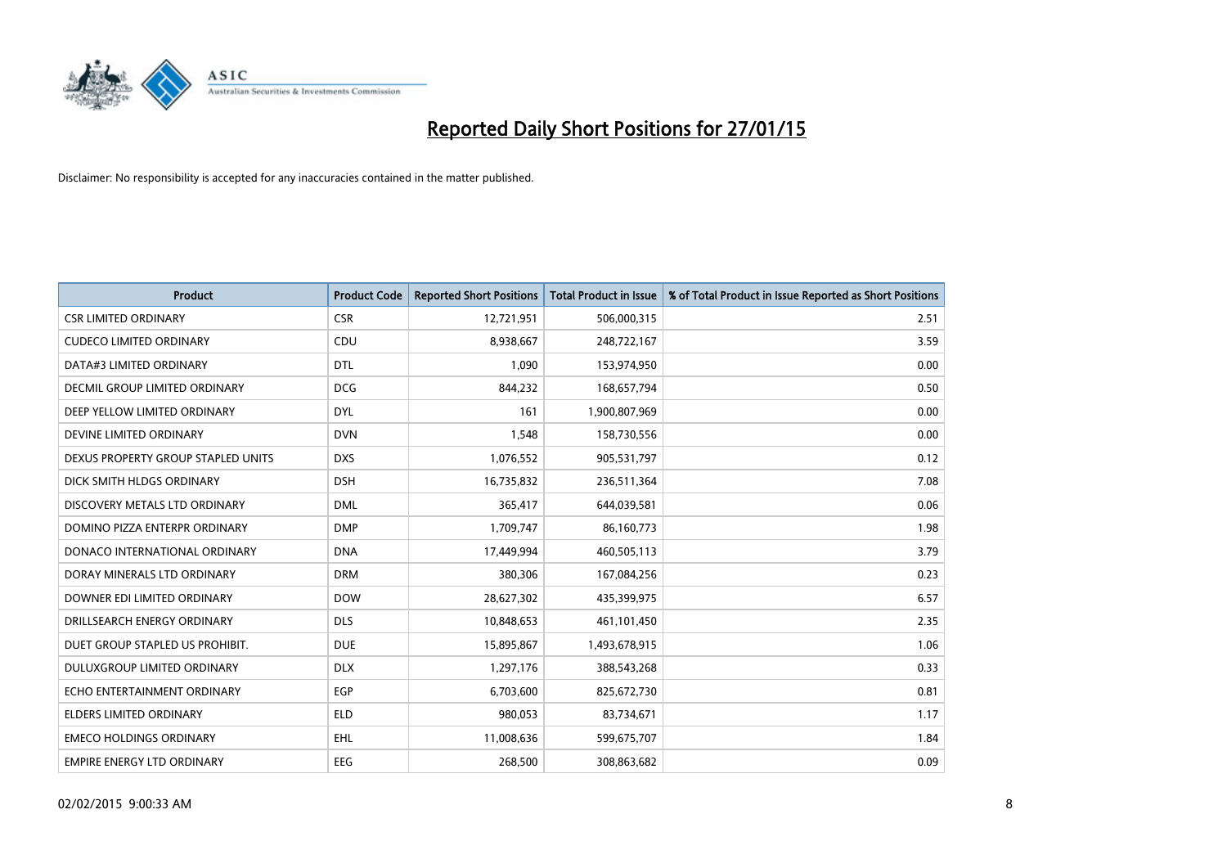

| <b>Product</b>                     | <b>Product Code</b> | <b>Reported Short Positions</b> | <b>Total Product in Issue</b> | % of Total Product in Issue Reported as Short Positions |
|------------------------------------|---------------------|---------------------------------|-------------------------------|---------------------------------------------------------|
| <b>CSR LIMITED ORDINARY</b>        | <b>CSR</b>          | 12,721,951                      | 506,000,315                   | 2.51                                                    |
| <b>CUDECO LIMITED ORDINARY</b>     | CDU                 | 8,938,667                       | 248,722,167                   | 3.59                                                    |
| DATA#3 LIMITED ORDINARY            | <b>DTL</b>          | 1,090                           | 153,974,950                   | 0.00                                                    |
| DECMIL GROUP LIMITED ORDINARY      | <b>DCG</b>          | 844,232                         | 168,657,794                   | 0.50                                                    |
| DEEP YELLOW LIMITED ORDINARY       | <b>DYL</b>          | 161                             | 1,900,807,969                 | 0.00                                                    |
| DEVINE LIMITED ORDINARY            | <b>DVN</b>          | 1,548                           | 158,730,556                   | 0.00                                                    |
| DEXUS PROPERTY GROUP STAPLED UNITS | <b>DXS</b>          | 1,076,552                       | 905,531,797                   | 0.12                                                    |
| DICK SMITH HLDGS ORDINARY          | <b>DSH</b>          | 16,735,832                      | 236,511,364                   | 7.08                                                    |
| DISCOVERY METALS LTD ORDINARY      | <b>DML</b>          | 365,417                         | 644,039,581                   | 0.06                                                    |
| DOMINO PIZZA ENTERPR ORDINARY      | <b>DMP</b>          | 1,709,747                       | 86,160,773                    | 1.98                                                    |
| DONACO INTERNATIONAL ORDINARY      | <b>DNA</b>          | 17,449,994                      | 460,505,113                   | 3.79                                                    |
| DORAY MINERALS LTD ORDINARY        | <b>DRM</b>          | 380,306                         | 167,084,256                   | 0.23                                                    |
| DOWNER EDI LIMITED ORDINARY        | <b>DOW</b>          | 28,627,302                      | 435,399,975                   | 6.57                                                    |
| DRILLSEARCH ENERGY ORDINARY        | <b>DLS</b>          | 10,848,653                      | 461,101,450                   | 2.35                                                    |
| DUET GROUP STAPLED US PROHIBIT.    | <b>DUE</b>          | 15,895,867                      | 1,493,678,915                 | 1.06                                                    |
| DULUXGROUP LIMITED ORDINARY        | <b>DLX</b>          | 1,297,176                       | 388,543,268                   | 0.33                                                    |
| ECHO ENTERTAINMENT ORDINARY        | EGP                 | 6,703,600                       | 825,672,730                   | 0.81                                                    |
| <b>ELDERS LIMITED ORDINARY</b>     | <b>ELD</b>          | 980,053                         | 83,734,671                    | 1.17                                                    |
| <b>EMECO HOLDINGS ORDINARY</b>     | <b>EHL</b>          | 11,008,636                      | 599,675,707                   | 1.84                                                    |
| <b>EMPIRE ENERGY LTD ORDINARY</b>  | <b>EEG</b>          | 268,500                         | 308,863,682                   | 0.09                                                    |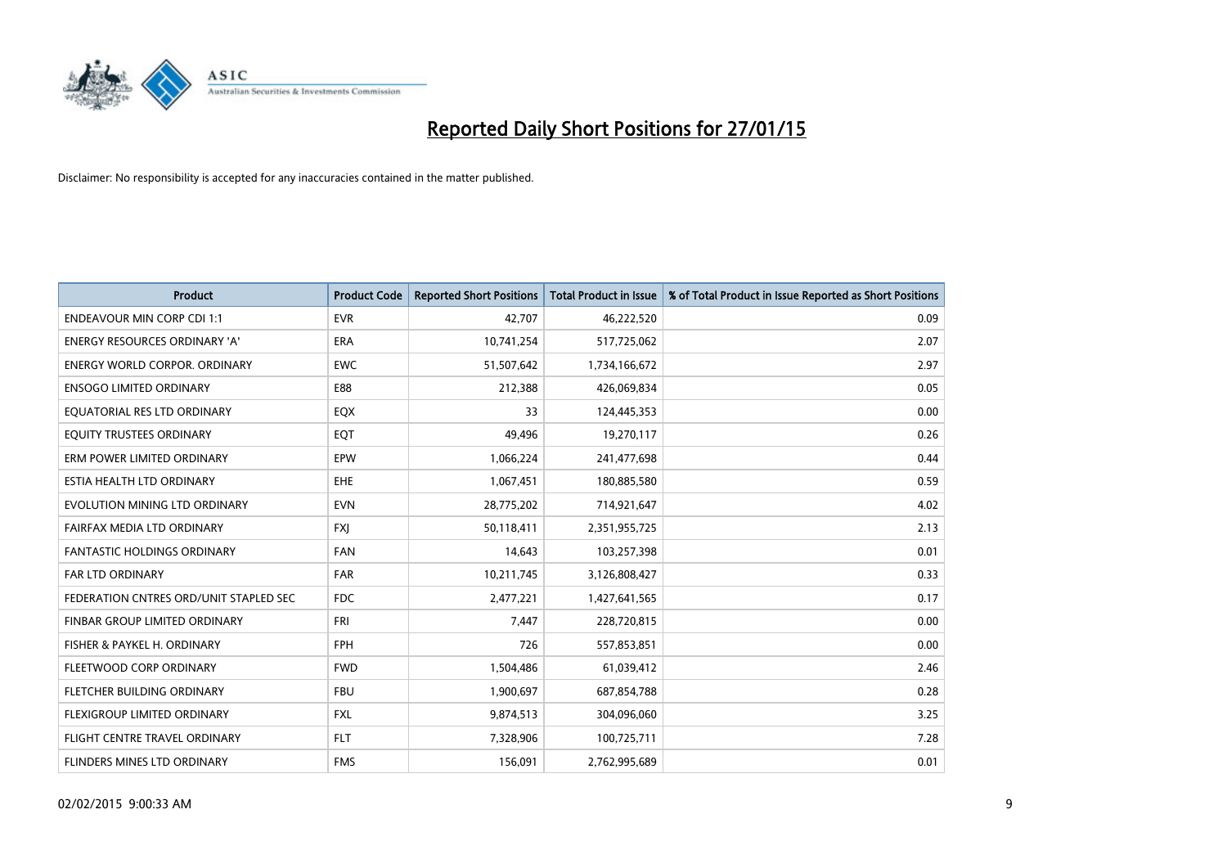

| <b>Product</b>                         | <b>Product Code</b> | <b>Reported Short Positions</b> | <b>Total Product in Issue</b> | % of Total Product in Issue Reported as Short Positions |
|----------------------------------------|---------------------|---------------------------------|-------------------------------|---------------------------------------------------------|
| <b>ENDEAVOUR MIN CORP CDI 1:1</b>      | <b>EVR</b>          | 42,707                          | 46,222,520                    | 0.09                                                    |
| ENERGY RESOURCES ORDINARY 'A'          | ERA                 | 10,741,254                      | 517,725,062                   | 2.07                                                    |
| <b>ENERGY WORLD CORPOR, ORDINARY</b>   | <b>EWC</b>          | 51,507,642                      | 1,734,166,672                 | 2.97                                                    |
| <b>ENSOGO LIMITED ORDINARY</b>         | E88                 | 212,388                         | 426,069,834                   | 0.05                                                    |
| EQUATORIAL RES LTD ORDINARY            | EQX                 | 33                              | 124,445,353                   | 0.00                                                    |
| EQUITY TRUSTEES ORDINARY               | EQT                 | 49,496                          | 19,270,117                    | 0.26                                                    |
| ERM POWER LIMITED ORDINARY             | <b>EPW</b>          | 1,066,224                       | 241,477,698                   | 0.44                                                    |
| ESTIA HEALTH LTD ORDINARY              | <b>EHE</b>          | 1,067,451                       | 180,885,580                   | 0.59                                                    |
| EVOLUTION MINING LTD ORDINARY          | <b>EVN</b>          | 28,775,202                      | 714,921,647                   | 4.02                                                    |
| FAIRFAX MEDIA LTD ORDINARY             | <b>FXI</b>          | 50,118,411                      | 2,351,955,725                 | 2.13                                                    |
| FANTASTIC HOLDINGS ORDINARY            | <b>FAN</b>          | 14,643                          | 103,257,398                   | 0.01                                                    |
| <b>FAR LTD ORDINARY</b>                | FAR                 | 10,211,745                      | 3,126,808,427                 | 0.33                                                    |
| FEDERATION CNTRES ORD/UNIT STAPLED SEC | <b>FDC</b>          | 2,477,221                       | 1,427,641,565                 | 0.17                                                    |
| FINBAR GROUP LIMITED ORDINARY          | <b>FRI</b>          | 7,447                           | 228,720,815                   | 0.00                                                    |
| FISHER & PAYKEL H. ORDINARY            | <b>FPH</b>          | 726                             | 557,853,851                   | 0.00                                                    |
| FLEETWOOD CORP ORDINARY                | <b>FWD</b>          | 1,504,486                       | 61,039,412                    | 2.46                                                    |
| FLETCHER BUILDING ORDINARY             | <b>FBU</b>          | 1,900,697                       | 687,854,788                   | 0.28                                                    |
| FLEXIGROUP LIMITED ORDINARY            | <b>FXL</b>          | 9,874,513                       | 304,096,060                   | 3.25                                                    |
| FLIGHT CENTRE TRAVEL ORDINARY          | <b>FLT</b>          | 7,328,906                       | 100,725,711                   | 7.28                                                    |
| FLINDERS MINES LTD ORDINARY            | <b>FMS</b>          | 156,091                         | 2,762,995,689                 | 0.01                                                    |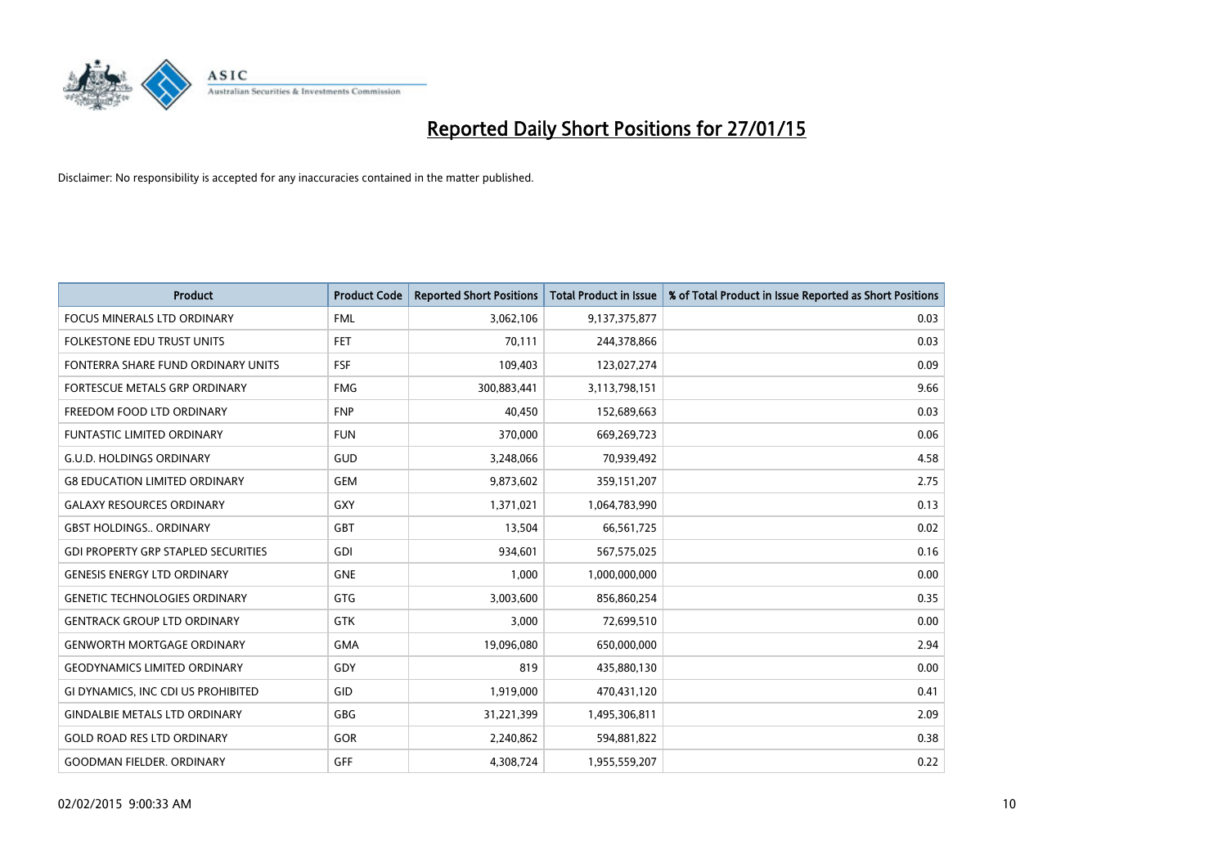

| <b>Product</b>                             | <b>Product Code</b> | <b>Reported Short Positions</b> | <b>Total Product in Issue</b> | % of Total Product in Issue Reported as Short Positions |
|--------------------------------------------|---------------------|---------------------------------|-------------------------------|---------------------------------------------------------|
| <b>FOCUS MINERALS LTD ORDINARY</b>         | <b>FML</b>          | 3,062,106                       | 9,137,375,877                 | 0.03                                                    |
| FOLKESTONE EDU TRUST UNITS                 | FET                 | 70,111                          | 244,378,866                   | 0.03                                                    |
| FONTERRA SHARE FUND ORDINARY UNITS         | <b>FSF</b>          | 109,403                         | 123,027,274                   | 0.09                                                    |
| FORTESCUE METALS GRP ORDINARY              | <b>FMG</b>          | 300,883,441                     | 3,113,798,151                 | 9.66                                                    |
| FREEDOM FOOD LTD ORDINARY                  | <b>FNP</b>          | 40,450                          | 152,689,663                   | 0.03                                                    |
| <b>FUNTASTIC LIMITED ORDINARY</b>          | <b>FUN</b>          | 370,000                         | 669,269,723                   | 0.06                                                    |
| <b>G.U.D. HOLDINGS ORDINARY</b>            | GUD                 | 3,248,066                       | 70,939,492                    | 4.58                                                    |
| <b>G8 EDUCATION LIMITED ORDINARY</b>       | <b>GEM</b>          | 9,873,602                       | 359,151,207                   | 2.75                                                    |
| <b>GALAXY RESOURCES ORDINARY</b>           | GXY                 | 1,371,021                       | 1,064,783,990                 | 0.13                                                    |
| <b>GBST HOLDINGS., ORDINARY</b>            | GBT                 | 13,504                          | 66,561,725                    | 0.02                                                    |
| <b>GDI PROPERTY GRP STAPLED SECURITIES</b> | GDI                 | 934,601                         | 567,575,025                   | 0.16                                                    |
| <b>GENESIS ENERGY LTD ORDINARY</b>         | <b>GNE</b>          | 1,000                           | 1,000,000,000                 | 0.00                                                    |
| <b>GENETIC TECHNOLOGIES ORDINARY</b>       | GTG                 | 3,003,600                       | 856,860,254                   | 0.35                                                    |
| <b>GENTRACK GROUP LTD ORDINARY</b>         | <b>GTK</b>          | 3,000                           | 72,699,510                    | 0.00                                                    |
| <b>GENWORTH MORTGAGE ORDINARY</b>          | <b>GMA</b>          | 19,096,080                      | 650,000,000                   | 2.94                                                    |
| <b>GEODYNAMICS LIMITED ORDINARY</b>        | GDY                 | 819                             | 435,880,130                   | 0.00                                                    |
| GI DYNAMICS, INC CDI US PROHIBITED         | GID                 | 1,919,000                       | 470,431,120                   | 0.41                                                    |
| <b>GINDALBIE METALS LTD ORDINARY</b>       | GBG                 | 31,221,399                      | 1,495,306,811                 | 2.09                                                    |
| <b>GOLD ROAD RES LTD ORDINARY</b>          | GOR                 | 2,240,862                       | 594,881,822                   | 0.38                                                    |
| <b>GOODMAN FIELDER, ORDINARY</b>           | GFF                 | 4,308,724                       | 1,955,559,207                 | 0.22                                                    |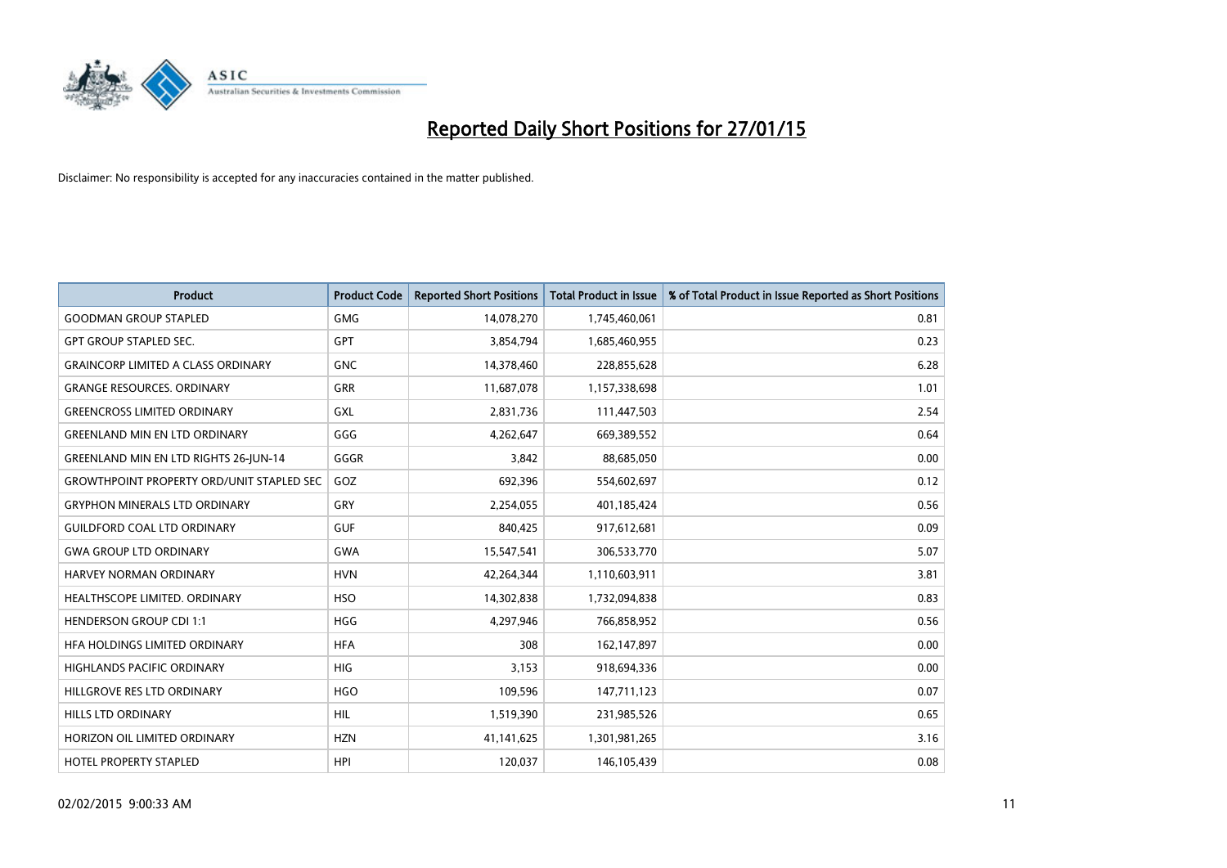

| <b>Product</b>                                   | <b>Product Code</b> | <b>Reported Short Positions</b> | <b>Total Product in Issue</b> | % of Total Product in Issue Reported as Short Positions |
|--------------------------------------------------|---------------------|---------------------------------|-------------------------------|---------------------------------------------------------|
| <b>GOODMAN GROUP STAPLED</b>                     | <b>GMG</b>          | 14,078,270                      | 1,745,460,061                 | 0.81                                                    |
| <b>GPT GROUP STAPLED SEC.</b>                    | GPT                 | 3,854,794                       | 1,685,460,955                 | 0.23                                                    |
| <b>GRAINCORP LIMITED A CLASS ORDINARY</b>        | <b>GNC</b>          | 14,378,460                      | 228,855,628                   | 6.28                                                    |
| <b>GRANGE RESOURCES. ORDINARY</b>                | GRR                 | 11,687,078                      | 1,157,338,698                 | 1.01                                                    |
| <b>GREENCROSS LIMITED ORDINARY</b>               | <b>GXL</b>          | 2,831,736                       | 111,447,503                   | 2.54                                                    |
| <b>GREENLAND MIN EN LTD ORDINARY</b>             | GGG                 | 4,262,647                       | 669,389,552                   | 0.64                                                    |
| <b>GREENLAND MIN EN LTD RIGHTS 26-JUN-14</b>     | GGGR                | 3,842                           | 88,685,050                    | 0.00                                                    |
| <b>GROWTHPOINT PROPERTY ORD/UNIT STAPLED SEC</b> | GOZ                 | 692,396                         | 554,602,697                   | 0.12                                                    |
| <b>GRYPHON MINERALS LTD ORDINARY</b>             | GRY                 | 2,254,055                       | 401,185,424                   | 0.56                                                    |
| <b>GUILDFORD COAL LTD ORDINARY</b>               | <b>GUF</b>          | 840,425                         | 917,612,681                   | 0.09                                                    |
| <b>GWA GROUP LTD ORDINARY</b>                    | <b>GWA</b>          | 15,547,541                      | 306,533,770                   | 5.07                                                    |
| HARVEY NORMAN ORDINARY                           | <b>HVN</b>          | 42,264,344                      | 1,110,603,911                 | 3.81                                                    |
| HEALTHSCOPE LIMITED. ORDINARY                    | <b>HSO</b>          | 14,302,838                      | 1,732,094,838                 | 0.83                                                    |
| <b>HENDERSON GROUP CDI 1:1</b>                   | <b>HGG</b>          | 4,297,946                       | 766,858,952                   | 0.56                                                    |
| HFA HOLDINGS LIMITED ORDINARY                    | <b>HFA</b>          | 308                             | 162,147,897                   | 0.00                                                    |
| HIGHLANDS PACIFIC ORDINARY                       | HIG                 | 3,153                           | 918,694,336                   | 0.00                                                    |
| HILLGROVE RES LTD ORDINARY                       | <b>HGO</b>          | 109,596                         | 147,711,123                   | 0.07                                                    |
| HILLS LTD ORDINARY                               | HIL                 | 1,519,390                       | 231,985,526                   | 0.65                                                    |
| HORIZON OIL LIMITED ORDINARY                     | <b>HZN</b>          | 41,141,625                      | 1,301,981,265                 | 3.16                                                    |
| <b>HOTEL PROPERTY STAPLED</b>                    | <b>HPI</b>          | 120,037                         | 146, 105, 439                 | 0.08                                                    |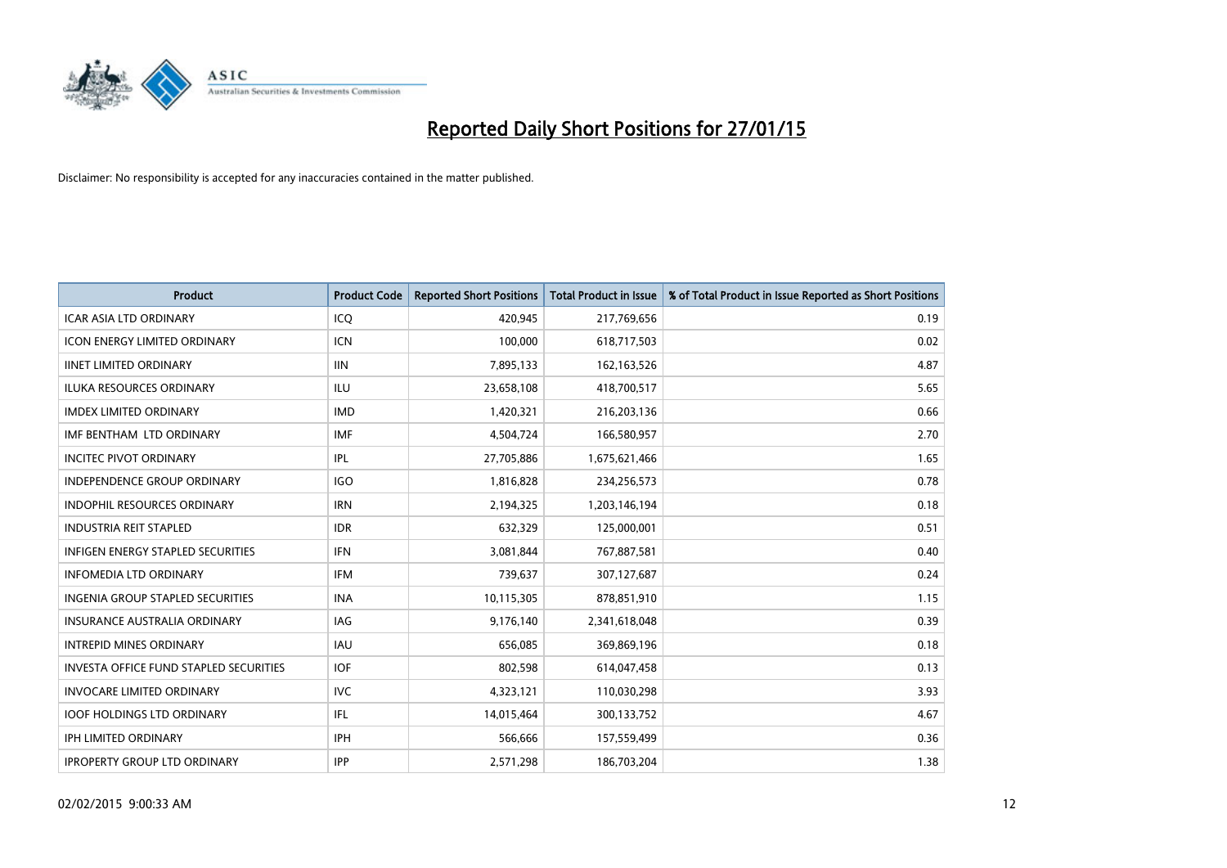

| <b>Product</b>                         | <b>Product Code</b> | <b>Reported Short Positions</b> | <b>Total Product in Issue</b> | % of Total Product in Issue Reported as Short Positions |
|----------------------------------------|---------------------|---------------------------------|-------------------------------|---------------------------------------------------------|
| <b>ICAR ASIA LTD ORDINARY</b>          | ICQ                 | 420,945                         | 217,769,656                   | 0.19                                                    |
| ICON ENERGY LIMITED ORDINARY           | <b>ICN</b>          | 100,000                         | 618,717,503                   | 0.02                                                    |
| <b>IINET LIMITED ORDINARY</b>          | <b>IIN</b>          | 7,895,133                       | 162, 163, 526                 | 4.87                                                    |
| ILUKA RESOURCES ORDINARY               | ILU                 | 23,658,108                      | 418,700,517                   | 5.65                                                    |
| <b>IMDEX LIMITED ORDINARY</b>          | <b>IMD</b>          | 1,420,321                       | 216,203,136                   | 0.66                                                    |
| IMF BENTHAM LTD ORDINARY               | <b>IMF</b>          | 4,504,724                       | 166,580,957                   | 2.70                                                    |
| <b>INCITEC PIVOT ORDINARY</b>          | <b>IPL</b>          | 27,705,886                      | 1,675,621,466                 | 1.65                                                    |
| <b>INDEPENDENCE GROUP ORDINARY</b>     | <b>IGO</b>          | 1,816,828                       | 234,256,573                   | 0.78                                                    |
| INDOPHIL RESOURCES ORDINARY            | <b>IRN</b>          | 2,194,325                       | 1,203,146,194                 | 0.18                                                    |
| <b>INDUSTRIA REIT STAPLED</b>          | <b>IDR</b>          | 632,329                         | 125,000,001                   | 0.51                                                    |
| INFIGEN ENERGY STAPLED SECURITIES      | <b>IFN</b>          | 3,081,844                       | 767,887,581                   | 0.40                                                    |
| <b>INFOMEDIA LTD ORDINARY</b>          | <b>IFM</b>          | 739,637                         | 307,127,687                   | 0.24                                                    |
| INGENIA GROUP STAPLED SECURITIES       | <b>INA</b>          | 10,115,305                      | 878,851,910                   | 1.15                                                    |
| <b>INSURANCE AUSTRALIA ORDINARY</b>    | <b>IAG</b>          | 9,176,140                       | 2,341,618,048                 | 0.39                                                    |
| <b>INTREPID MINES ORDINARY</b>         | <b>IAU</b>          | 656,085                         | 369,869,196                   | 0.18                                                    |
| INVESTA OFFICE FUND STAPLED SECURITIES | <b>IOF</b>          | 802,598                         | 614,047,458                   | 0.13                                                    |
| <b>INVOCARE LIMITED ORDINARY</b>       | <b>IVC</b>          | 4,323,121                       | 110,030,298                   | 3.93                                                    |
| <b>IOOF HOLDINGS LTD ORDINARY</b>      | IFL                 | 14,015,464                      | 300,133,752                   | 4.67                                                    |
| <b>IPH LIMITED ORDINARY</b>            | <b>IPH</b>          | 566,666                         | 157,559,499                   | 0.36                                                    |
| <b>IPROPERTY GROUP LTD ORDINARY</b>    | <b>IPP</b>          | 2,571,298                       | 186,703,204                   | 1.38                                                    |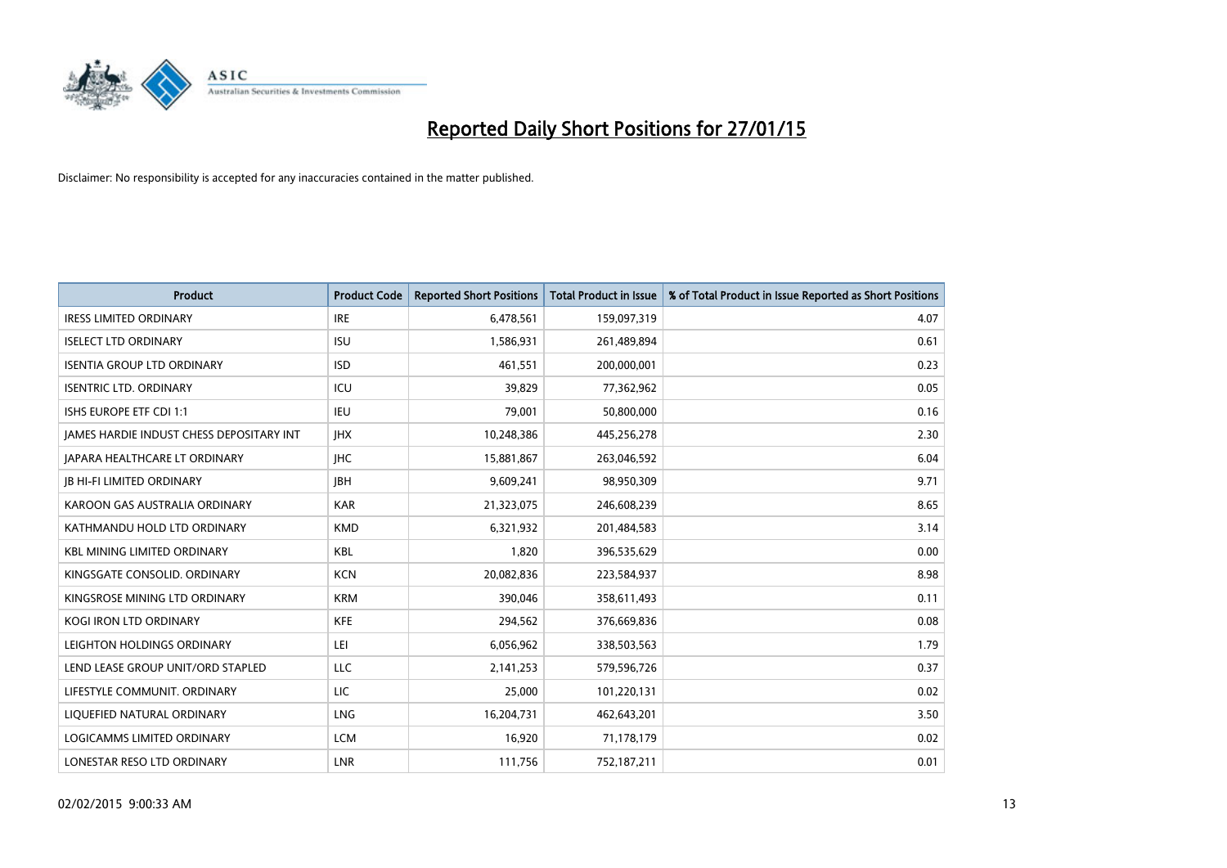

| <b>Product</b>                           | <b>Product Code</b> | <b>Reported Short Positions</b> | <b>Total Product in Issue</b> | % of Total Product in Issue Reported as Short Positions |
|------------------------------------------|---------------------|---------------------------------|-------------------------------|---------------------------------------------------------|
| <b>IRESS LIMITED ORDINARY</b>            | <b>IRE</b>          | 6,478,561                       | 159,097,319                   | 4.07                                                    |
| <b>ISELECT LTD ORDINARY</b>              | <b>ISU</b>          | 1,586,931                       | 261,489,894                   | 0.61                                                    |
| <b>ISENTIA GROUP LTD ORDINARY</b>        | <b>ISD</b>          | 461,551                         | 200,000,001                   | 0.23                                                    |
| <b>ISENTRIC LTD. ORDINARY</b>            | ICU                 | 39,829                          | 77,362,962                    | 0.05                                                    |
| ISHS EUROPE ETF CDI 1:1                  | IEU                 | 79,001                          | 50,800,000                    | 0.16                                                    |
| JAMES HARDIE INDUST CHESS DEPOSITARY INT | <b>IHX</b>          | 10,248,386                      | 445,256,278                   | 2.30                                                    |
| JAPARA HEALTHCARE LT ORDINARY            | <b>IHC</b>          | 15,881,867                      | 263,046,592                   | 6.04                                                    |
| <b>JB HI-FI LIMITED ORDINARY</b>         | <b>JBH</b>          | 9,609,241                       | 98,950,309                    | 9.71                                                    |
| KAROON GAS AUSTRALIA ORDINARY            | <b>KAR</b>          | 21,323,075                      | 246,608,239                   | 8.65                                                    |
| KATHMANDU HOLD LTD ORDINARY              | <b>KMD</b>          | 6,321,932                       | 201,484,583                   | 3.14                                                    |
| <b>KBL MINING LIMITED ORDINARY</b>       | <b>KBL</b>          | 1,820                           | 396,535,629                   | 0.00                                                    |
| KINGSGATE CONSOLID. ORDINARY             | <b>KCN</b>          | 20,082,836                      | 223,584,937                   | 8.98                                                    |
| KINGSROSE MINING LTD ORDINARY            | <b>KRM</b>          | 390,046                         | 358,611,493                   | 0.11                                                    |
| <b>KOGI IRON LTD ORDINARY</b>            | KFE                 | 294,562                         | 376,669,836                   | 0.08                                                    |
| LEIGHTON HOLDINGS ORDINARY               | LEI                 | 6,056,962                       | 338,503,563                   | 1.79                                                    |
| LEND LEASE GROUP UNIT/ORD STAPLED        | LLC                 | 2,141,253                       | 579,596,726                   | 0.37                                                    |
| LIFESTYLE COMMUNIT. ORDINARY             | LIC                 | 25,000                          | 101,220,131                   | 0.02                                                    |
| LIQUEFIED NATURAL ORDINARY               | <b>LNG</b>          | 16,204,731                      | 462,643,201                   | 3.50                                                    |
| <b>LOGICAMMS LIMITED ORDINARY</b>        | <b>LCM</b>          | 16,920                          | 71,178,179                    | 0.02                                                    |
| LONESTAR RESO LTD ORDINARY               | LNR                 | 111,756                         | 752,187,211                   | 0.01                                                    |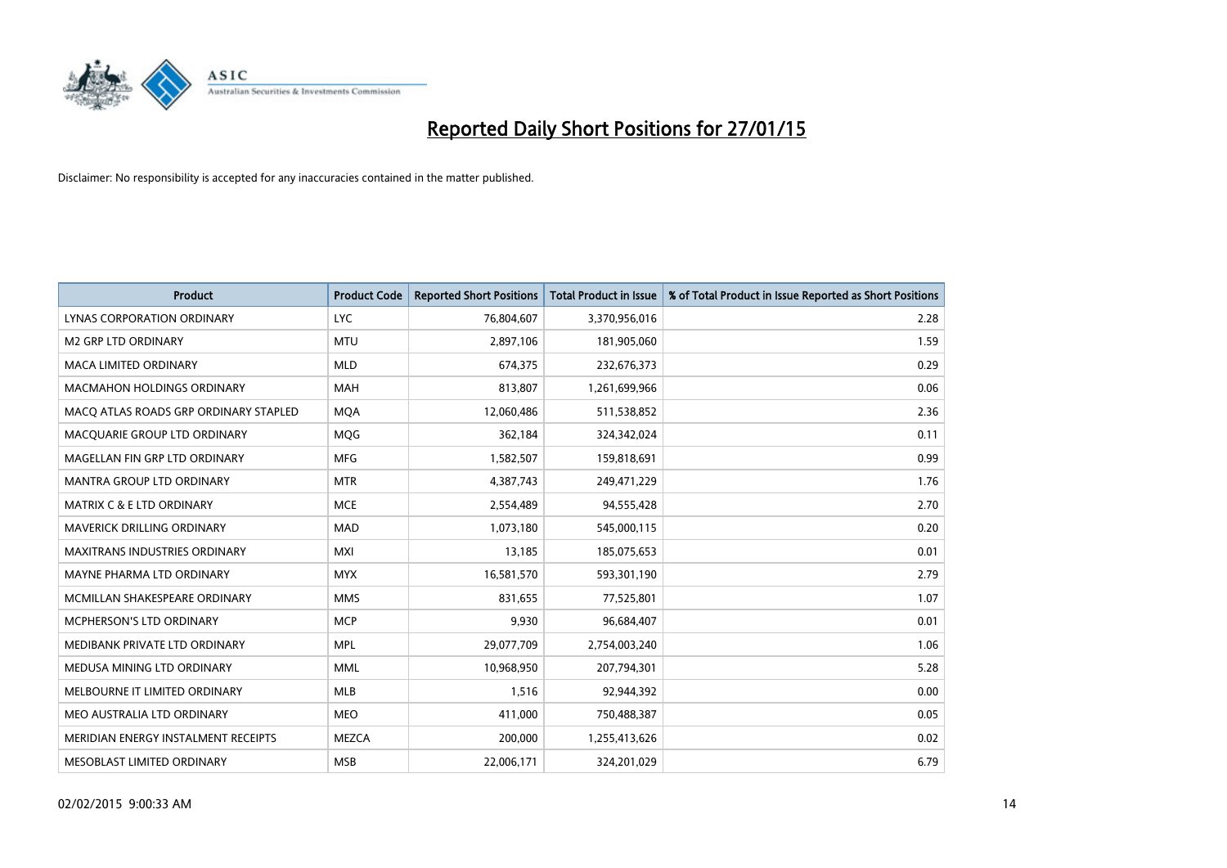

| <b>Product</b>                        | <b>Product Code</b> | <b>Reported Short Positions</b> | <b>Total Product in Issue</b> | % of Total Product in Issue Reported as Short Positions |
|---------------------------------------|---------------------|---------------------------------|-------------------------------|---------------------------------------------------------|
| <b>LYNAS CORPORATION ORDINARY</b>     | <b>LYC</b>          | 76,804,607                      | 3,370,956,016                 | 2.28                                                    |
| <b>M2 GRP LTD ORDINARY</b>            | <b>MTU</b>          | 2,897,106                       | 181,905,060                   | 1.59                                                    |
| <b>MACA LIMITED ORDINARY</b>          | <b>MLD</b>          | 674,375                         | 232,676,373                   | 0.29                                                    |
| <b>MACMAHON HOLDINGS ORDINARY</b>     | <b>MAH</b>          | 813,807                         | 1,261,699,966                 | 0.06                                                    |
| MACO ATLAS ROADS GRP ORDINARY STAPLED | <b>MOA</b>          | 12,060,486                      | 511,538,852                   | 2.36                                                    |
| MACQUARIE GROUP LTD ORDINARY          | <b>MQG</b>          | 362,184                         | 324,342,024                   | 0.11                                                    |
| MAGELLAN FIN GRP LTD ORDINARY         | <b>MFG</b>          | 1,582,507                       | 159,818,691                   | 0.99                                                    |
| MANTRA GROUP LTD ORDINARY             | <b>MTR</b>          | 4,387,743                       | 249,471,229                   | 1.76                                                    |
| <b>MATRIX C &amp; E LTD ORDINARY</b>  | <b>MCE</b>          | 2,554,489                       | 94,555,428                    | 2.70                                                    |
| <b>MAVERICK DRILLING ORDINARY</b>     | <b>MAD</b>          | 1,073,180                       | 545,000,115                   | 0.20                                                    |
| MAXITRANS INDUSTRIES ORDINARY         | <b>MXI</b>          | 13,185                          | 185,075,653                   | 0.01                                                    |
| MAYNE PHARMA LTD ORDINARY             | <b>MYX</b>          | 16,581,570                      | 593,301,190                   | 2.79                                                    |
| MCMILLAN SHAKESPEARE ORDINARY         | <b>MMS</b>          | 831,655                         | 77,525,801                    | 1.07                                                    |
| <b>MCPHERSON'S LTD ORDINARY</b>       | <b>MCP</b>          | 9,930                           | 96,684,407                    | 0.01                                                    |
| MEDIBANK PRIVATE LTD ORDINARY         | <b>MPL</b>          | 29,077,709                      | 2,754,003,240                 | 1.06                                                    |
| MEDUSA MINING LTD ORDINARY            | <b>MML</b>          | 10,968,950                      | 207,794,301                   | 5.28                                                    |
| MELBOURNE IT LIMITED ORDINARY         | MLB                 | 1,516                           | 92,944,392                    | 0.00                                                    |
| MEO AUSTRALIA LTD ORDINARY            | <b>MEO</b>          | 411,000                         | 750,488,387                   | 0.05                                                    |
| MERIDIAN ENERGY INSTALMENT RECEIPTS   | <b>MEZCA</b>        | 200,000                         | 1,255,413,626                 | 0.02                                                    |
| MESOBLAST LIMITED ORDINARY            | <b>MSB</b>          | 22,006,171                      | 324,201,029                   | 6.79                                                    |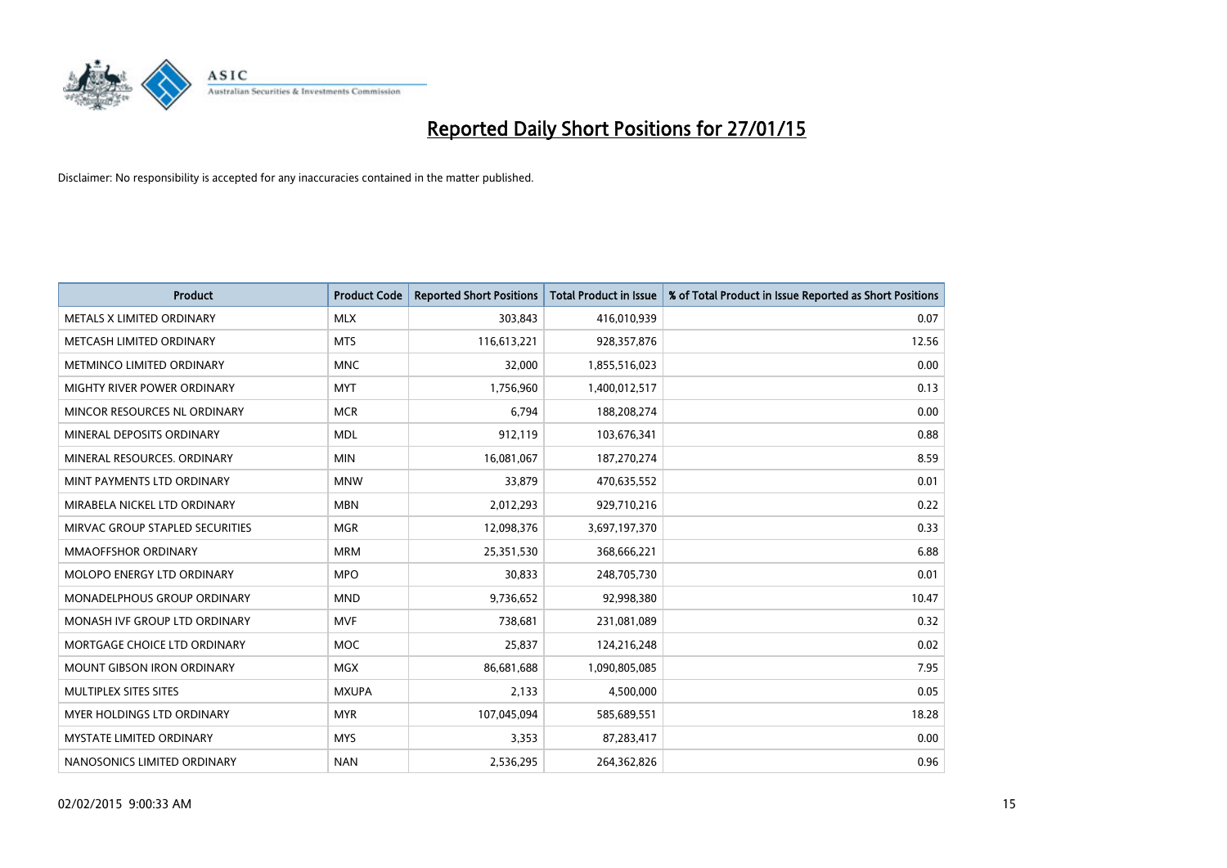

| <b>Product</b>                    | <b>Product Code</b> | <b>Reported Short Positions</b> | <b>Total Product in Issue</b> | % of Total Product in Issue Reported as Short Positions |
|-----------------------------------|---------------------|---------------------------------|-------------------------------|---------------------------------------------------------|
| METALS X LIMITED ORDINARY         | <b>MLX</b>          | 303,843                         | 416,010,939                   | 0.07                                                    |
| METCASH LIMITED ORDINARY          | <b>MTS</b>          | 116,613,221                     | 928,357,876                   | 12.56                                                   |
| METMINCO LIMITED ORDINARY         | <b>MNC</b>          | 32,000                          | 1,855,516,023                 | 0.00                                                    |
| MIGHTY RIVER POWER ORDINARY       | <b>MYT</b>          | 1,756,960                       | 1,400,012,517                 | 0.13                                                    |
| MINCOR RESOURCES NL ORDINARY      | <b>MCR</b>          | 6,794                           | 188,208,274                   | 0.00                                                    |
| MINERAL DEPOSITS ORDINARY         | <b>MDL</b>          | 912,119                         | 103,676,341                   | 0.88                                                    |
| MINERAL RESOURCES, ORDINARY       | <b>MIN</b>          | 16,081,067                      | 187,270,274                   | 8.59                                                    |
| MINT PAYMENTS LTD ORDINARY        | <b>MNW</b>          | 33,879                          | 470,635,552                   | 0.01                                                    |
| MIRABELA NICKEL LTD ORDINARY      | <b>MBN</b>          | 2,012,293                       | 929,710,216                   | 0.22                                                    |
| MIRVAC GROUP STAPLED SECURITIES   | <b>MGR</b>          | 12,098,376                      | 3,697,197,370                 | 0.33                                                    |
| MMAOFFSHOR ORDINARY               | <b>MRM</b>          | 25,351,530                      | 368,666,221                   | 6.88                                                    |
| <b>MOLOPO ENERGY LTD ORDINARY</b> | <b>MPO</b>          | 30,833                          | 248,705,730                   | 0.01                                                    |
| MONADELPHOUS GROUP ORDINARY       | <b>MND</b>          | 9,736,652                       | 92,998,380                    | 10.47                                                   |
| MONASH IVF GROUP LTD ORDINARY     | <b>MVF</b>          | 738,681                         | 231,081,089                   | 0.32                                                    |
| MORTGAGE CHOICE LTD ORDINARY      | <b>MOC</b>          | 25,837                          | 124,216,248                   | 0.02                                                    |
| MOUNT GIBSON IRON ORDINARY        | <b>MGX</b>          | 86,681,688                      | 1,090,805,085                 | 7.95                                                    |
| MULTIPLEX SITES SITES             | <b>MXUPA</b>        | 2,133                           | 4,500,000                     | 0.05                                                    |
| MYER HOLDINGS LTD ORDINARY        | <b>MYR</b>          | 107,045,094                     | 585,689,551                   | 18.28                                                   |
| <b>MYSTATE LIMITED ORDINARY</b>   | <b>MYS</b>          | 3,353                           | 87,283,417                    | 0.00                                                    |
| NANOSONICS LIMITED ORDINARY       | <b>NAN</b>          | 2,536,295                       | 264,362,826                   | 0.96                                                    |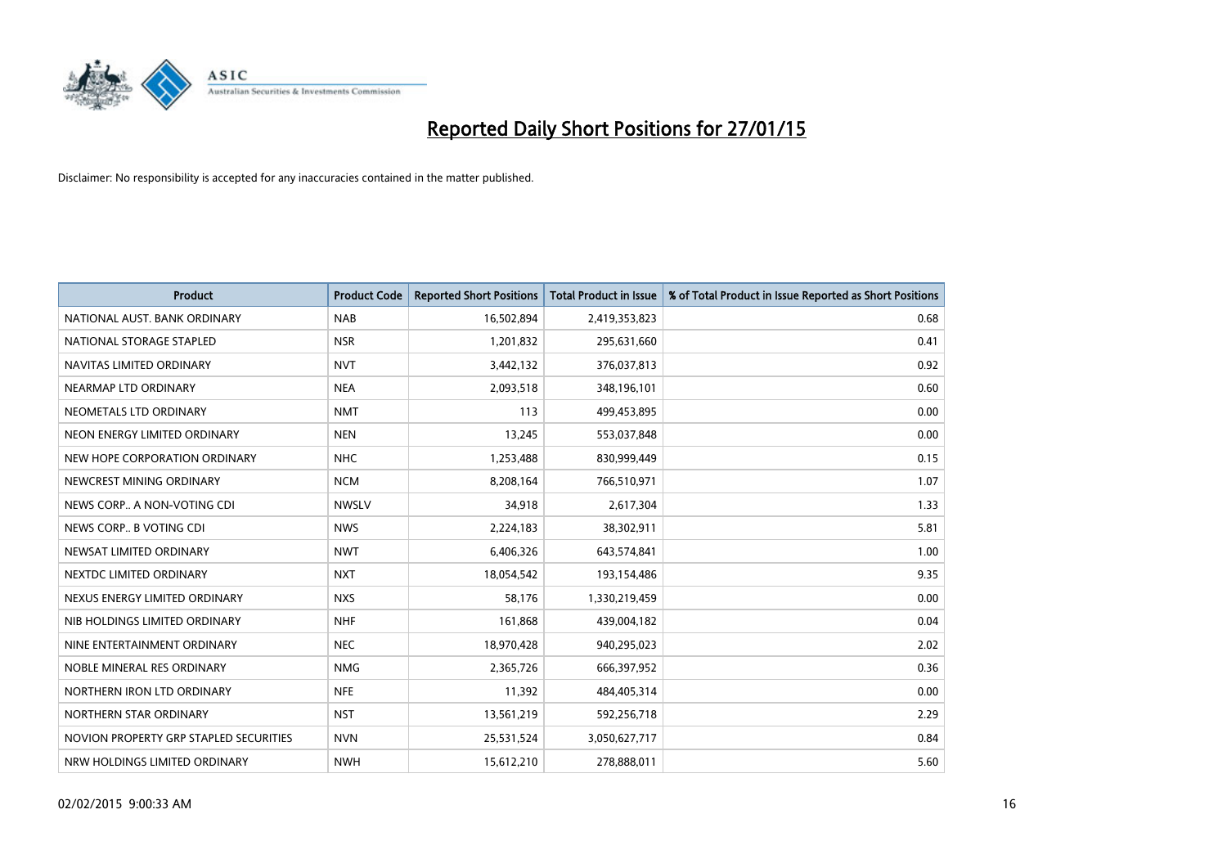

| <b>Product</b>                         | <b>Product Code</b> | <b>Reported Short Positions</b> | <b>Total Product in Issue</b> | % of Total Product in Issue Reported as Short Positions |
|----------------------------------------|---------------------|---------------------------------|-------------------------------|---------------------------------------------------------|
| NATIONAL AUST, BANK ORDINARY           | <b>NAB</b>          | 16,502,894                      | 2,419,353,823                 | 0.68                                                    |
| NATIONAL STORAGE STAPLED               | <b>NSR</b>          | 1,201,832                       | 295,631,660                   | 0.41                                                    |
| NAVITAS LIMITED ORDINARY               | <b>NVT</b>          | 3,442,132                       | 376,037,813                   | 0.92                                                    |
| NEARMAP LTD ORDINARY                   | <b>NEA</b>          | 2,093,518                       | 348,196,101                   | 0.60                                                    |
| NEOMETALS LTD ORDINARY                 | <b>NMT</b>          | 113                             | 499,453,895                   | 0.00                                                    |
| NEON ENERGY LIMITED ORDINARY           | <b>NEN</b>          | 13,245                          | 553,037,848                   | 0.00                                                    |
| NEW HOPE CORPORATION ORDINARY          | <b>NHC</b>          | 1,253,488                       | 830,999,449                   | 0.15                                                    |
| NEWCREST MINING ORDINARY               | <b>NCM</b>          | 8,208,164                       | 766,510,971                   | 1.07                                                    |
| NEWS CORP A NON-VOTING CDI             | <b>NWSLV</b>        | 34,918                          | 2,617,304                     | 1.33                                                    |
| NEWS CORP B VOTING CDI                 | <b>NWS</b>          | 2,224,183                       | 38,302,911                    | 5.81                                                    |
| NEWSAT LIMITED ORDINARY                | <b>NWT</b>          | 6,406,326                       | 643,574,841                   | 1.00                                                    |
| NEXTDC LIMITED ORDINARY                | <b>NXT</b>          | 18,054,542                      | 193,154,486                   | 9.35                                                    |
| NEXUS ENERGY LIMITED ORDINARY          | <b>NXS</b>          | 58,176                          | 1,330,219,459                 | 0.00                                                    |
| NIB HOLDINGS LIMITED ORDINARY          | <b>NHF</b>          | 161,868                         | 439,004,182                   | 0.04                                                    |
| NINE ENTERTAINMENT ORDINARY            | <b>NEC</b>          | 18,970,428                      | 940,295,023                   | 2.02                                                    |
| NOBLE MINERAL RES ORDINARY             | <b>NMG</b>          | 2,365,726                       | 666,397,952                   | 0.36                                                    |
| NORTHERN IRON LTD ORDINARY             | <b>NFE</b>          | 11,392                          | 484,405,314                   | 0.00                                                    |
| NORTHERN STAR ORDINARY                 | <b>NST</b>          | 13,561,219                      | 592,256,718                   | 2.29                                                    |
| NOVION PROPERTY GRP STAPLED SECURITIES | <b>NVN</b>          | 25,531,524                      | 3,050,627,717                 | 0.84                                                    |
| NRW HOLDINGS LIMITED ORDINARY          | <b>NWH</b>          | 15,612,210                      | 278,888,011                   | 5.60                                                    |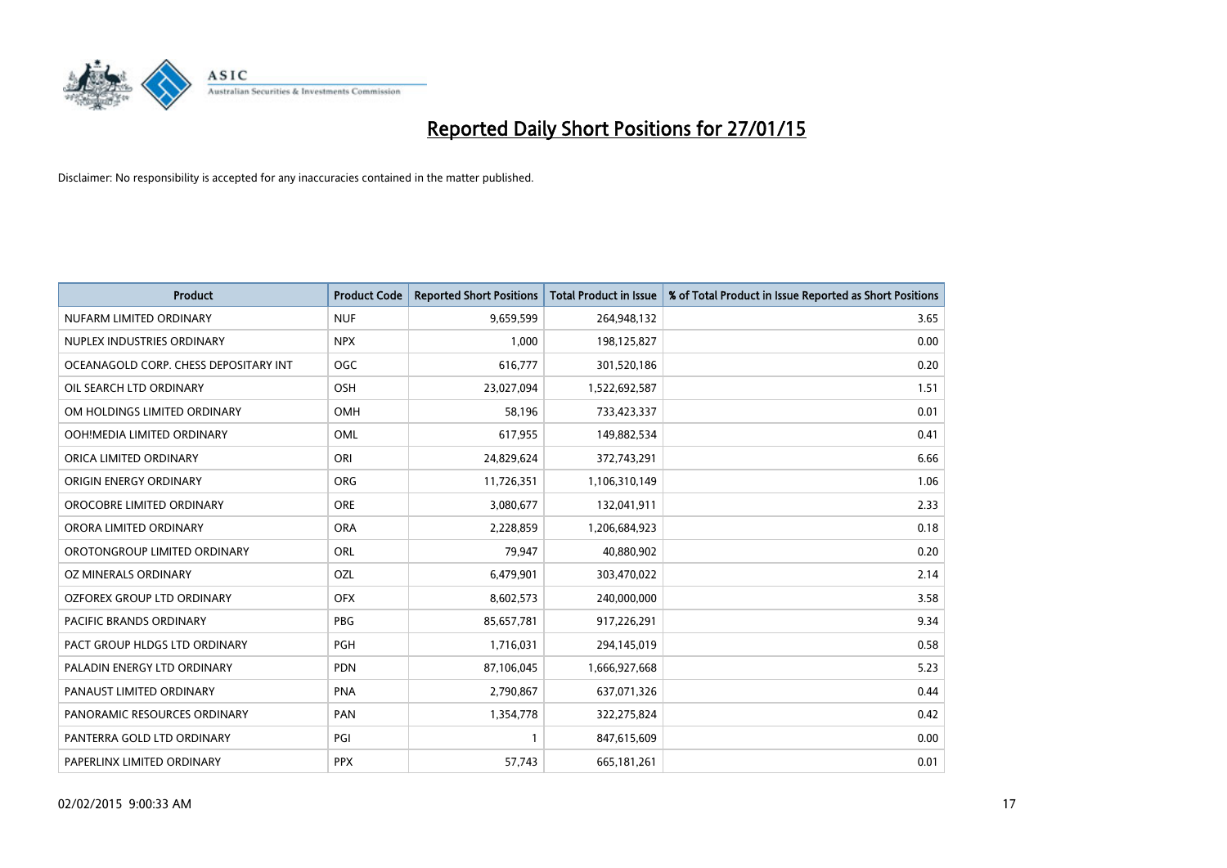

| <b>Product</b>                        | <b>Product Code</b> | <b>Reported Short Positions</b> | <b>Total Product in Issue</b> | % of Total Product in Issue Reported as Short Positions |
|---------------------------------------|---------------------|---------------------------------|-------------------------------|---------------------------------------------------------|
| NUFARM LIMITED ORDINARY               | <b>NUF</b>          | 9,659,599                       | 264,948,132                   | 3.65                                                    |
| NUPLEX INDUSTRIES ORDINARY            | <b>NPX</b>          | 1,000                           | 198,125,827                   | 0.00                                                    |
| OCEANAGOLD CORP. CHESS DEPOSITARY INT | <b>OGC</b>          | 616,777                         | 301,520,186                   | 0.20                                                    |
| OIL SEARCH LTD ORDINARY               | OSH                 | 23,027,094                      | 1,522,692,587                 | 1.51                                                    |
| OM HOLDINGS LIMITED ORDINARY          | <b>OMH</b>          | 58,196                          | 733,423,337                   | 0.01                                                    |
| OOH!MEDIA LIMITED ORDINARY            | <b>OML</b>          | 617,955                         | 149,882,534                   | 0.41                                                    |
| ORICA LIMITED ORDINARY                | ORI                 | 24,829,624                      | 372,743,291                   | 6.66                                                    |
| ORIGIN ENERGY ORDINARY                | ORG                 | 11,726,351                      | 1,106,310,149                 | 1.06                                                    |
| OROCOBRE LIMITED ORDINARY             | <b>ORE</b>          | 3,080,677                       | 132,041,911                   | 2.33                                                    |
| ORORA LIMITED ORDINARY                | <b>ORA</b>          | 2,228,859                       | 1,206,684,923                 | 0.18                                                    |
| OROTONGROUP LIMITED ORDINARY          | ORL                 | 79,947                          | 40,880,902                    | 0.20                                                    |
| OZ MINERALS ORDINARY                  | OZL                 | 6,479,901                       | 303,470,022                   | 2.14                                                    |
| OZFOREX GROUP LTD ORDINARY            | <b>OFX</b>          | 8,602,573                       | 240,000,000                   | 3.58                                                    |
| <b>PACIFIC BRANDS ORDINARY</b>        | <b>PBG</b>          | 85,657,781                      | 917,226,291                   | 9.34                                                    |
| PACT GROUP HLDGS LTD ORDINARY         | PGH                 | 1,716,031                       | 294,145,019                   | 0.58                                                    |
| PALADIN ENERGY LTD ORDINARY           | <b>PDN</b>          | 87,106,045                      | 1,666,927,668                 | 5.23                                                    |
| PANAUST LIMITED ORDINARY              | <b>PNA</b>          | 2,790,867                       | 637,071,326                   | 0.44                                                    |
| PANORAMIC RESOURCES ORDINARY          | PAN                 | 1,354,778                       | 322,275,824                   | 0.42                                                    |
| PANTERRA GOLD LTD ORDINARY            | PGI                 | $\mathbf{1}$                    | 847,615,609                   | 0.00                                                    |
| PAPERLINX LIMITED ORDINARY            | <b>PPX</b>          | 57,743                          | 665, 181, 261                 | 0.01                                                    |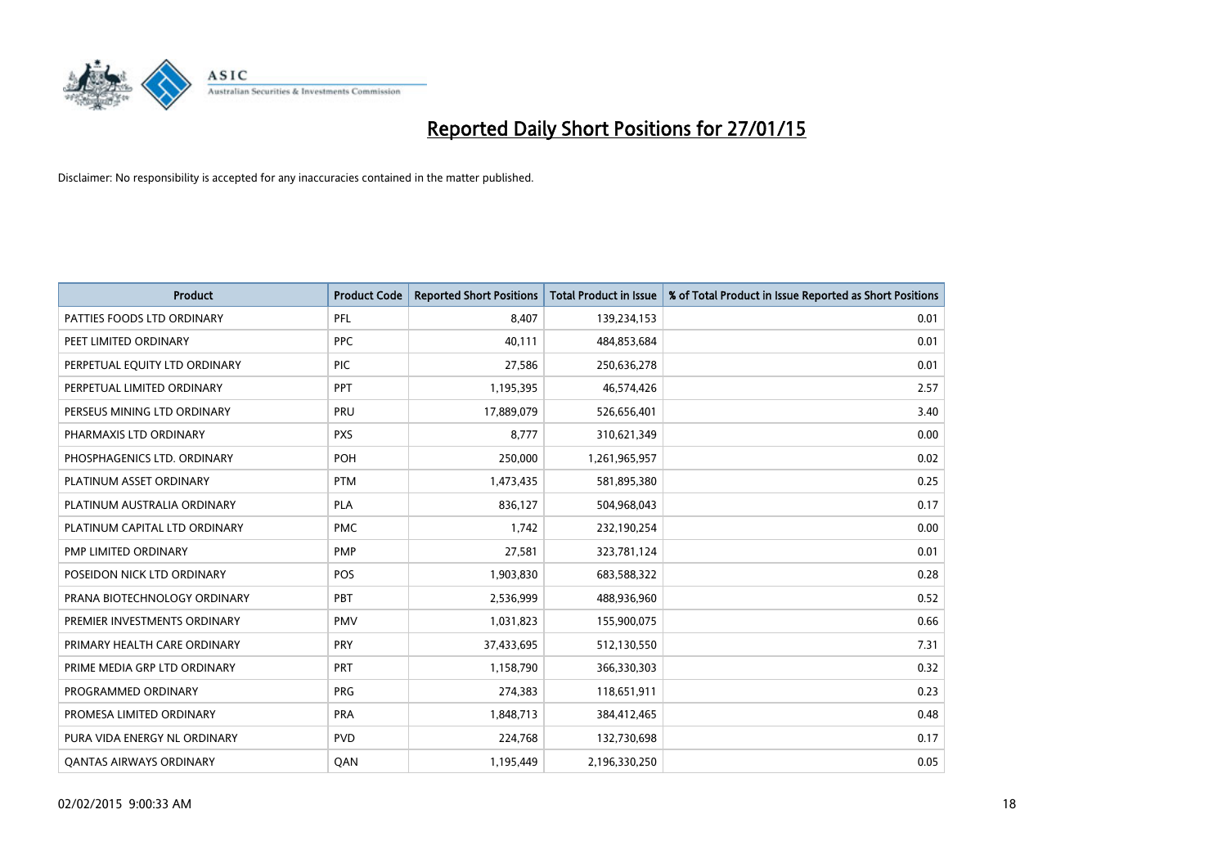

| <b>Product</b>                 | <b>Product Code</b> | <b>Reported Short Positions</b> | <b>Total Product in Issue</b> | % of Total Product in Issue Reported as Short Positions |
|--------------------------------|---------------------|---------------------------------|-------------------------------|---------------------------------------------------------|
| PATTIES FOODS LTD ORDINARY     | PFL                 | 8,407                           | 139,234,153                   | 0.01                                                    |
| PEET LIMITED ORDINARY          | <b>PPC</b>          | 40,111                          | 484,853,684                   | 0.01                                                    |
| PERPETUAL EQUITY LTD ORDINARY  | <b>PIC</b>          | 27,586                          | 250,636,278                   | 0.01                                                    |
| PERPETUAL LIMITED ORDINARY     | PPT                 | 1,195,395                       | 46,574,426                    | 2.57                                                    |
| PERSEUS MINING LTD ORDINARY    | PRU                 | 17,889,079                      | 526,656,401                   | 3.40                                                    |
| PHARMAXIS LTD ORDINARY         | <b>PXS</b>          | 8,777                           | 310,621,349                   | 0.00                                                    |
| PHOSPHAGENICS LTD. ORDINARY    | <b>POH</b>          | 250,000                         | 1,261,965,957                 | 0.02                                                    |
| PLATINUM ASSET ORDINARY        | <b>PTM</b>          | 1,473,435                       | 581,895,380                   | 0.25                                                    |
| PLATINUM AUSTRALIA ORDINARY    | <b>PLA</b>          | 836,127                         | 504,968,043                   | 0.17                                                    |
| PLATINUM CAPITAL LTD ORDINARY  | <b>PMC</b>          | 1,742                           | 232,190,254                   | 0.00                                                    |
| PMP LIMITED ORDINARY           | <b>PMP</b>          | 27,581                          | 323,781,124                   | 0.01                                                    |
| POSEIDON NICK LTD ORDINARY     | <b>POS</b>          | 1,903,830                       | 683,588,322                   | 0.28                                                    |
| PRANA BIOTECHNOLOGY ORDINARY   | PBT                 | 2,536,999                       | 488,936,960                   | 0.52                                                    |
| PREMIER INVESTMENTS ORDINARY   | <b>PMV</b>          | 1,031,823                       | 155,900,075                   | 0.66                                                    |
| PRIMARY HEALTH CARE ORDINARY   | <b>PRY</b>          | 37,433,695                      | 512,130,550                   | 7.31                                                    |
| PRIME MEDIA GRP LTD ORDINARY   | PRT                 | 1,158,790                       | 366,330,303                   | 0.32                                                    |
| PROGRAMMED ORDINARY            | <b>PRG</b>          | 274,383                         | 118,651,911                   | 0.23                                                    |
| PROMESA LIMITED ORDINARY       | <b>PRA</b>          | 1,848,713                       | 384,412,465                   | 0.48                                                    |
| PURA VIDA ENERGY NL ORDINARY   | <b>PVD</b>          | 224,768                         | 132,730,698                   | 0.17                                                    |
| <b>QANTAS AIRWAYS ORDINARY</b> | QAN                 | 1,195,449                       | 2,196,330,250                 | 0.05                                                    |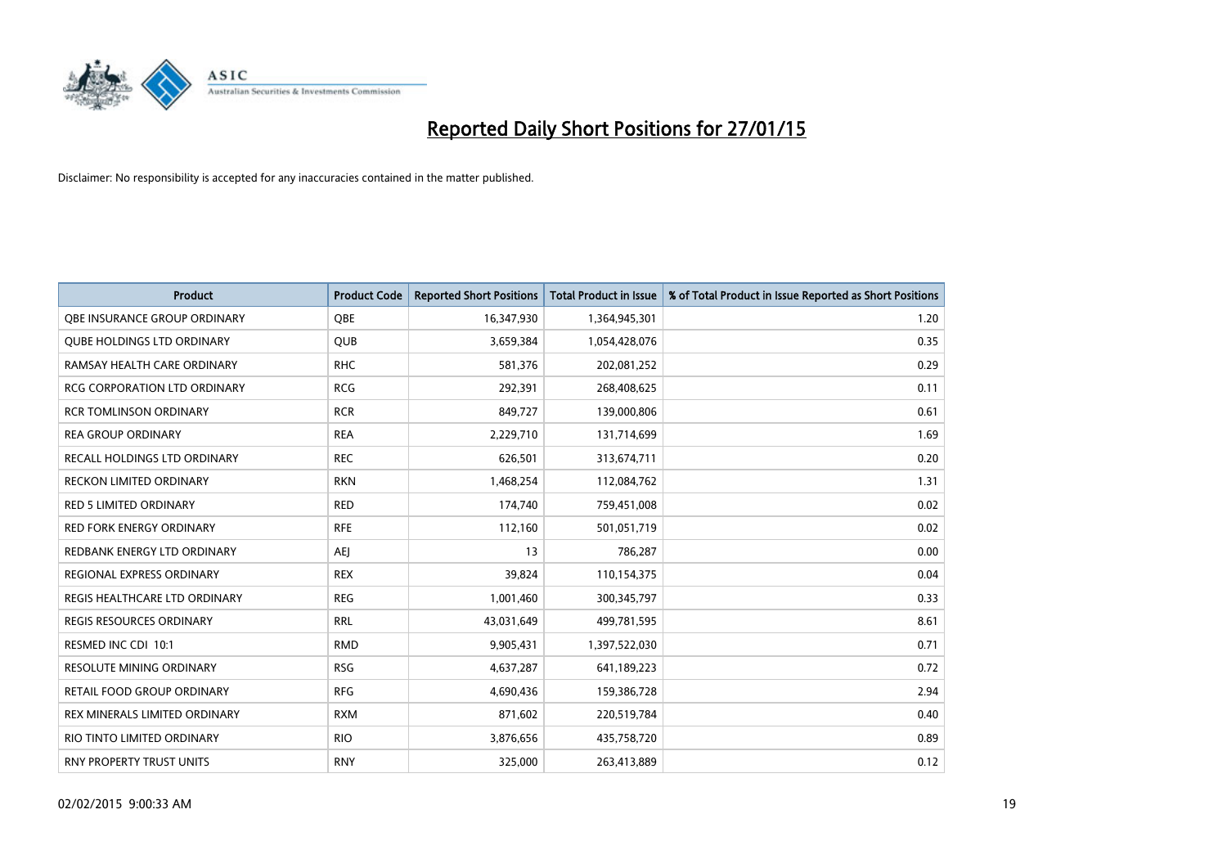

| <b>Product</b>                      | <b>Product Code</b> | <b>Reported Short Positions</b> | <b>Total Product in Issue</b> | % of Total Product in Issue Reported as Short Positions |
|-------------------------------------|---------------------|---------------------------------|-------------------------------|---------------------------------------------------------|
| OBE INSURANCE GROUP ORDINARY        | <b>OBE</b>          | 16,347,930                      | 1,364,945,301                 | 1.20                                                    |
| <b>QUBE HOLDINGS LTD ORDINARY</b>   | QUB                 | 3,659,384                       | 1,054,428,076                 | 0.35                                                    |
| RAMSAY HEALTH CARE ORDINARY         | <b>RHC</b>          | 581,376                         | 202,081,252                   | 0.29                                                    |
| <b>RCG CORPORATION LTD ORDINARY</b> | <b>RCG</b>          | 292,391                         | 268,408,625                   | 0.11                                                    |
| <b>RCR TOMLINSON ORDINARY</b>       | <b>RCR</b>          | 849,727                         | 139,000,806                   | 0.61                                                    |
| <b>REA GROUP ORDINARY</b>           | <b>REA</b>          | 2,229,710                       | 131,714,699                   | 1.69                                                    |
| RECALL HOLDINGS LTD ORDINARY        | <b>REC</b>          | 626,501                         | 313,674,711                   | 0.20                                                    |
| RECKON LIMITED ORDINARY             | <b>RKN</b>          | 1,468,254                       | 112,084,762                   | 1.31                                                    |
| <b>RED 5 LIMITED ORDINARY</b>       | <b>RED</b>          | 174,740                         | 759,451,008                   | 0.02                                                    |
| <b>RED FORK ENERGY ORDINARY</b>     | <b>RFE</b>          | 112,160                         | 501,051,719                   | 0.02                                                    |
| REDBANK ENERGY LTD ORDINARY         | AEJ                 | 13                              | 786,287                       | 0.00                                                    |
| REGIONAL EXPRESS ORDINARY           | <b>REX</b>          | 39,824                          | 110,154,375                   | 0.04                                                    |
| REGIS HEALTHCARE LTD ORDINARY       | <b>REG</b>          | 1,001,460                       | 300,345,797                   | 0.33                                                    |
| <b>REGIS RESOURCES ORDINARY</b>     | <b>RRL</b>          | 43,031,649                      | 499,781,595                   | 8.61                                                    |
| RESMED INC CDI 10:1                 | <b>RMD</b>          | 9,905,431                       | 1,397,522,030                 | 0.71                                                    |
| RESOLUTE MINING ORDINARY            | <b>RSG</b>          | 4,637,287                       | 641,189,223                   | 0.72                                                    |
| RETAIL FOOD GROUP ORDINARY          | <b>RFG</b>          | 4,690,436                       | 159,386,728                   | 2.94                                                    |
| REX MINERALS LIMITED ORDINARY       | <b>RXM</b>          | 871,602                         | 220,519,784                   | 0.40                                                    |
| RIO TINTO LIMITED ORDINARY          | <b>RIO</b>          | 3,876,656                       | 435,758,720                   | 0.89                                                    |
| <b>RNY PROPERTY TRUST UNITS</b>     | <b>RNY</b>          | 325,000                         | 263,413,889                   | 0.12                                                    |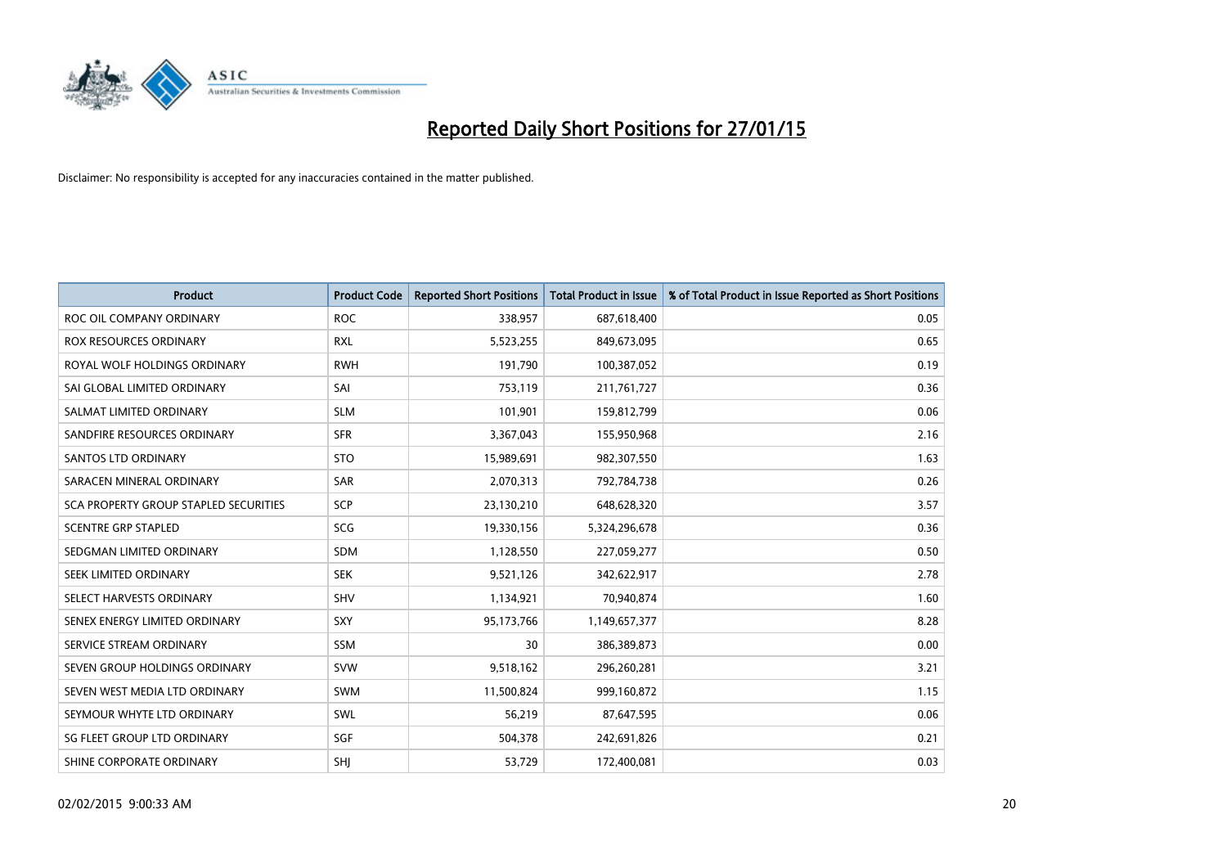

| <b>Product</b>                               | <b>Product Code</b> | <b>Reported Short Positions</b> | <b>Total Product in Issue</b> | % of Total Product in Issue Reported as Short Positions |
|----------------------------------------------|---------------------|---------------------------------|-------------------------------|---------------------------------------------------------|
| ROC OIL COMPANY ORDINARY                     | <b>ROC</b>          | 338,957                         | 687,618,400                   | 0.05                                                    |
| <b>ROX RESOURCES ORDINARY</b>                | <b>RXL</b>          | 5,523,255                       | 849,673,095                   | 0.65                                                    |
| ROYAL WOLF HOLDINGS ORDINARY                 | <b>RWH</b>          | 191,790                         | 100,387,052                   | 0.19                                                    |
| SAI GLOBAL LIMITED ORDINARY                  | SAI                 | 753,119                         | 211,761,727                   | 0.36                                                    |
| SALMAT LIMITED ORDINARY                      | <b>SLM</b>          | 101,901                         | 159,812,799                   | 0.06                                                    |
| SANDFIRE RESOURCES ORDINARY                  | <b>SFR</b>          | 3,367,043                       | 155,950,968                   | 2.16                                                    |
| <b>SANTOS LTD ORDINARY</b>                   | <b>STO</b>          | 15,989,691                      | 982,307,550                   | 1.63                                                    |
| SARACEN MINERAL ORDINARY                     | SAR                 | 2,070,313                       | 792,784,738                   | 0.26                                                    |
| <b>SCA PROPERTY GROUP STAPLED SECURITIES</b> | SCP                 | 23,130,210                      | 648,628,320                   | 3.57                                                    |
| <b>SCENTRE GRP STAPLED</b>                   | <b>SCG</b>          | 19,330,156                      | 5,324,296,678                 | 0.36                                                    |
| SEDGMAN LIMITED ORDINARY                     | <b>SDM</b>          | 1,128,550                       | 227,059,277                   | 0.50                                                    |
| SEEK LIMITED ORDINARY                        | <b>SEK</b>          | 9,521,126                       | 342,622,917                   | 2.78                                                    |
| SELECT HARVESTS ORDINARY                     | SHV                 | 1,134,921                       | 70,940,874                    | 1.60                                                    |
| SENEX ENERGY LIMITED ORDINARY                | <b>SXY</b>          | 95,173,766                      | 1,149,657,377                 | 8.28                                                    |
| SERVICE STREAM ORDINARY                      | SSM                 | 30                              | 386,389,873                   | 0.00                                                    |
| SEVEN GROUP HOLDINGS ORDINARY                | <b>SVW</b>          | 9,518,162                       | 296,260,281                   | 3.21                                                    |
| SEVEN WEST MEDIA LTD ORDINARY                | <b>SWM</b>          | 11,500,824                      | 999,160,872                   | 1.15                                                    |
| SEYMOUR WHYTE LTD ORDINARY                   | SWL                 | 56,219                          | 87,647,595                    | 0.06                                                    |
| SG FLEET GROUP LTD ORDINARY                  | SGF                 | 504,378                         | 242,691,826                   | 0.21                                                    |
| SHINE CORPORATE ORDINARY                     | SHJ                 | 53,729                          | 172,400,081                   | 0.03                                                    |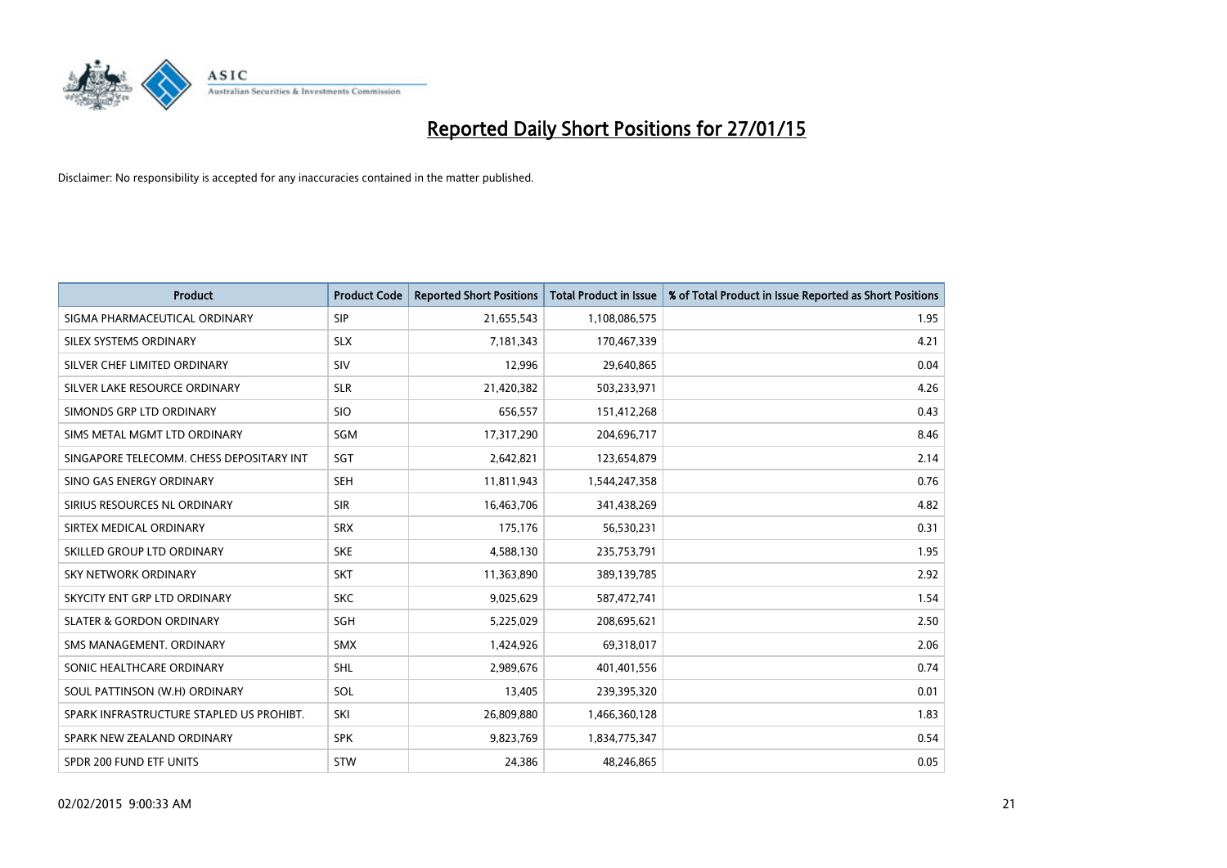

| <b>Product</b>                           | <b>Product Code</b> | <b>Reported Short Positions</b> | <b>Total Product in Issue</b> | % of Total Product in Issue Reported as Short Positions |
|------------------------------------------|---------------------|---------------------------------|-------------------------------|---------------------------------------------------------|
| SIGMA PHARMACEUTICAL ORDINARY            | <b>SIP</b>          | 21,655,543                      | 1,108,086,575                 | 1.95                                                    |
| SILEX SYSTEMS ORDINARY                   | <b>SLX</b>          | 7,181,343                       | 170,467,339                   | 4.21                                                    |
| SILVER CHEF LIMITED ORDINARY             | SIV                 | 12,996                          | 29,640,865                    | 0.04                                                    |
| SILVER LAKE RESOURCE ORDINARY            | <b>SLR</b>          | 21,420,382                      | 503,233,971                   | 4.26                                                    |
| SIMONDS GRP LTD ORDINARY                 | <b>SIO</b>          | 656,557                         | 151,412,268                   | 0.43                                                    |
| SIMS METAL MGMT LTD ORDINARY             | SGM                 | 17,317,290                      | 204,696,717                   | 8.46                                                    |
| SINGAPORE TELECOMM. CHESS DEPOSITARY INT | <b>SGT</b>          | 2,642,821                       | 123,654,879                   | 2.14                                                    |
| SINO GAS ENERGY ORDINARY                 | <b>SEH</b>          | 11,811,943                      | 1,544,247,358                 | 0.76                                                    |
| SIRIUS RESOURCES NL ORDINARY             | <b>SIR</b>          | 16,463,706                      | 341,438,269                   | 4.82                                                    |
| SIRTEX MEDICAL ORDINARY                  | <b>SRX</b>          | 175,176                         | 56,530,231                    | 0.31                                                    |
| SKILLED GROUP LTD ORDINARY               | <b>SKE</b>          | 4,588,130                       | 235,753,791                   | 1.95                                                    |
| <b>SKY NETWORK ORDINARY</b>              | <b>SKT</b>          | 11,363,890                      | 389,139,785                   | 2.92                                                    |
| SKYCITY ENT GRP LTD ORDINARY             | <b>SKC</b>          | 9,025,629                       | 587,472,741                   | 1.54                                                    |
| <b>SLATER &amp; GORDON ORDINARY</b>      | SGH                 | 5,225,029                       | 208,695,621                   | 2.50                                                    |
| SMS MANAGEMENT, ORDINARY                 | SMX                 | 1,424,926                       | 69,318,017                    | 2.06                                                    |
| SONIC HEALTHCARE ORDINARY                | <b>SHL</b>          | 2,989,676                       | 401,401,556                   | 0.74                                                    |
| SOUL PATTINSON (W.H) ORDINARY            | SOL                 | 13,405                          | 239,395,320                   | 0.01                                                    |
| SPARK INFRASTRUCTURE STAPLED US PROHIBT. | SKI                 | 26,809,880                      | 1,466,360,128                 | 1.83                                                    |
| SPARK NEW ZEALAND ORDINARY               | <b>SPK</b>          | 9,823,769                       | 1,834,775,347                 | 0.54                                                    |
| SPDR 200 FUND ETF UNITS                  | <b>STW</b>          | 24,386                          | 48,246,865                    | 0.05                                                    |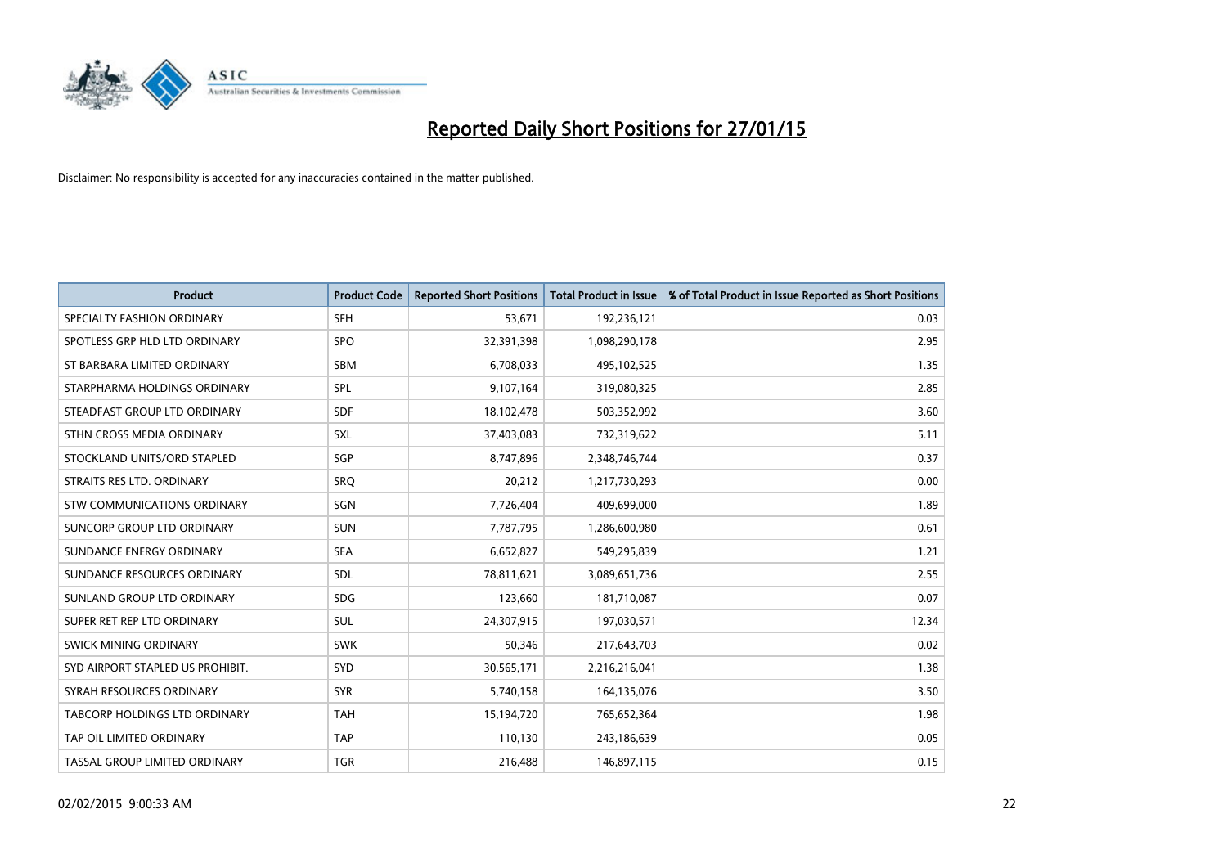

| <b>Product</b>                   | <b>Product Code</b> | <b>Reported Short Positions</b> | <b>Total Product in Issue</b> | % of Total Product in Issue Reported as Short Positions |
|----------------------------------|---------------------|---------------------------------|-------------------------------|---------------------------------------------------------|
| SPECIALTY FASHION ORDINARY       | <b>SFH</b>          | 53,671                          | 192,236,121                   | 0.03                                                    |
| SPOTLESS GRP HLD LTD ORDINARY    | <b>SPO</b>          | 32,391,398                      | 1,098,290,178                 | 2.95                                                    |
| ST BARBARA LIMITED ORDINARY      | <b>SBM</b>          | 6,708,033                       | 495,102,525                   | 1.35                                                    |
| STARPHARMA HOLDINGS ORDINARY     | <b>SPL</b>          | 9,107,164                       | 319,080,325                   | 2.85                                                    |
| STEADFAST GROUP LTD ORDINARY     | <b>SDF</b>          | 18,102,478                      | 503,352,992                   | 3.60                                                    |
| STHN CROSS MEDIA ORDINARY        | <b>SXL</b>          | 37,403,083                      | 732,319,622                   | 5.11                                                    |
| STOCKLAND UNITS/ORD STAPLED      | SGP                 | 8,747,896                       | 2,348,746,744                 | 0.37                                                    |
| STRAITS RES LTD. ORDINARY        | SRO                 | 20,212                          | 1,217,730,293                 | 0.00                                                    |
| STW COMMUNICATIONS ORDINARY      | <b>SGN</b>          | 7,726,404                       | 409,699,000                   | 1.89                                                    |
| SUNCORP GROUP LTD ORDINARY       | <b>SUN</b>          | 7,787,795                       | 1,286,600,980                 | 0.61                                                    |
| SUNDANCE ENERGY ORDINARY         | <b>SEA</b>          | 6,652,827                       | 549,295,839                   | 1.21                                                    |
| SUNDANCE RESOURCES ORDINARY      | SDL                 | 78,811,621                      | 3,089,651,736                 | 2.55                                                    |
| SUNLAND GROUP LTD ORDINARY       | <b>SDG</b>          | 123,660                         | 181,710,087                   | 0.07                                                    |
| SUPER RET REP LTD ORDINARY       | <b>SUL</b>          | 24,307,915                      | 197,030,571                   | 12.34                                                   |
| SWICK MINING ORDINARY            | <b>SWK</b>          | 50,346                          | 217,643,703                   | 0.02                                                    |
| SYD AIRPORT STAPLED US PROHIBIT. | <b>SYD</b>          | 30,565,171                      | 2,216,216,041                 | 1.38                                                    |
| SYRAH RESOURCES ORDINARY         | <b>SYR</b>          | 5,740,158                       | 164,135,076                   | 3.50                                                    |
| TABCORP HOLDINGS LTD ORDINARY    | <b>TAH</b>          | 15,194,720                      | 765,652,364                   | 1.98                                                    |
| TAP OIL LIMITED ORDINARY         | <b>TAP</b>          | 110,130                         | 243,186,639                   | 0.05                                                    |
| TASSAL GROUP LIMITED ORDINARY    | <b>TGR</b>          | 216,488                         | 146,897,115                   | 0.15                                                    |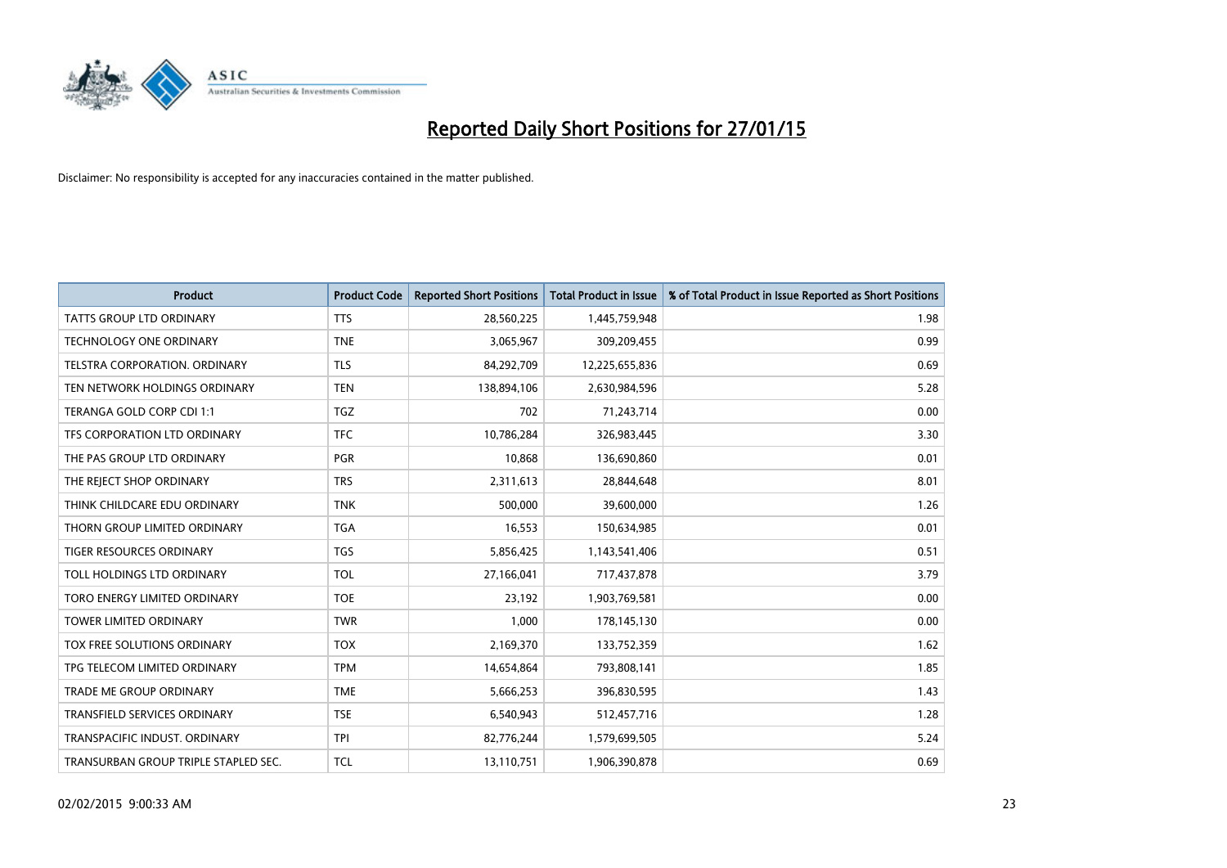

| <b>Product</b>                       | <b>Product Code</b> | <b>Reported Short Positions</b> | <b>Total Product in Issue</b> | % of Total Product in Issue Reported as Short Positions |
|--------------------------------------|---------------------|---------------------------------|-------------------------------|---------------------------------------------------------|
| <b>TATTS GROUP LTD ORDINARY</b>      | <b>TTS</b>          | 28,560,225                      | 1,445,759,948                 | 1.98                                                    |
| TECHNOLOGY ONE ORDINARY              | <b>TNE</b>          | 3,065,967                       | 309,209,455                   | 0.99                                                    |
| <b>TELSTRA CORPORATION, ORDINARY</b> | <b>TLS</b>          | 84,292,709                      | 12,225,655,836                | 0.69                                                    |
| TEN NETWORK HOLDINGS ORDINARY        | <b>TEN</b>          | 138,894,106                     | 2,630,984,596                 | 5.28                                                    |
| TERANGA GOLD CORP CDI 1:1            | <b>TGZ</b>          | 702                             | 71,243,714                    | 0.00                                                    |
| TFS CORPORATION LTD ORDINARY         | <b>TFC</b>          | 10,786,284                      | 326,983,445                   | 3.30                                                    |
| THE PAS GROUP LTD ORDINARY           | <b>PGR</b>          | 10,868                          | 136,690,860                   | 0.01                                                    |
| THE REJECT SHOP ORDINARY             | <b>TRS</b>          | 2,311,613                       | 28,844,648                    | 8.01                                                    |
| THINK CHILDCARE EDU ORDINARY         | <b>TNK</b>          | 500,000                         | 39,600,000                    | 1.26                                                    |
| THORN GROUP LIMITED ORDINARY         | <b>TGA</b>          | 16,553                          | 150,634,985                   | 0.01                                                    |
| TIGER RESOURCES ORDINARY             | <b>TGS</b>          | 5,856,425                       | 1,143,541,406                 | 0.51                                                    |
| TOLL HOLDINGS LTD ORDINARY           | <b>TOL</b>          | 27,166,041                      | 717,437,878                   | 3.79                                                    |
| TORO ENERGY LIMITED ORDINARY         | <b>TOE</b>          | 23,192                          | 1,903,769,581                 | 0.00                                                    |
| <b>TOWER LIMITED ORDINARY</b>        | <b>TWR</b>          | 1,000                           | 178,145,130                   | 0.00                                                    |
| TOX FREE SOLUTIONS ORDINARY          | <b>TOX</b>          | 2,169,370                       | 133,752,359                   | 1.62                                                    |
| TPG TELECOM LIMITED ORDINARY         | <b>TPM</b>          | 14,654,864                      | 793,808,141                   | 1.85                                                    |
| <b>TRADE ME GROUP ORDINARY</b>       | <b>TME</b>          | 5,666,253                       | 396,830,595                   | 1.43                                                    |
| TRANSFIELD SERVICES ORDINARY         | <b>TSE</b>          | 6,540,943                       | 512,457,716                   | 1.28                                                    |
| TRANSPACIFIC INDUST, ORDINARY        | <b>TPI</b>          | 82,776,244                      | 1,579,699,505                 | 5.24                                                    |
| TRANSURBAN GROUP TRIPLE STAPLED SEC. | <b>TCL</b>          | 13,110,751                      | 1,906,390,878                 | 0.69                                                    |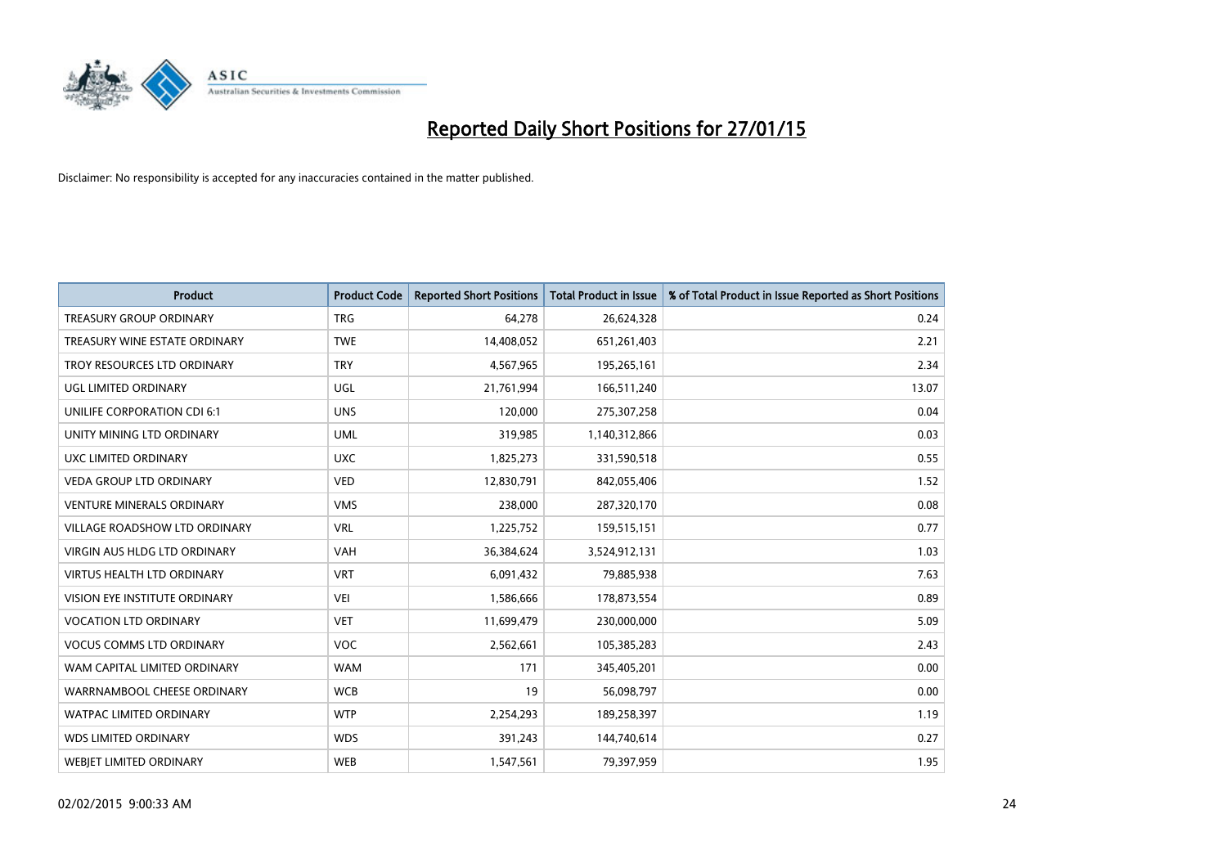

| <b>Product</b>                       | <b>Product Code</b> | <b>Reported Short Positions</b> | <b>Total Product in Issue</b> | % of Total Product in Issue Reported as Short Positions |
|--------------------------------------|---------------------|---------------------------------|-------------------------------|---------------------------------------------------------|
| <b>TREASURY GROUP ORDINARY</b>       | <b>TRG</b>          | 64,278                          | 26,624,328                    | 0.24                                                    |
| TREASURY WINE ESTATE ORDINARY        | <b>TWE</b>          | 14,408,052                      | 651,261,403                   | 2.21                                                    |
| TROY RESOURCES LTD ORDINARY          | <b>TRY</b>          | 4,567,965                       | 195,265,161                   | 2.34                                                    |
| <b>UGL LIMITED ORDINARY</b>          | UGL                 | 21,761,994                      | 166,511,240                   | 13.07                                                   |
| UNILIFE CORPORATION CDI 6:1          | <b>UNS</b>          | 120,000                         | 275,307,258                   | 0.04                                                    |
| UNITY MINING LTD ORDINARY            | <b>UML</b>          | 319,985                         | 1,140,312,866                 | 0.03                                                    |
| <b>UXC LIMITED ORDINARY</b>          | <b>UXC</b>          | 1,825,273                       | 331,590,518                   | 0.55                                                    |
| <b>VEDA GROUP LTD ORDINARY</b>       | <b>VED</b>          | 12,830,791                      | 842,055,406                   | 1.52                                                    |
| <b>VENTURE MINERALS ORDINARY</b>     | <b>VMS</b>          | 238,000                         | 287,320,170                   | 0.08                                                    |
| <b>VILLAGE ROADSHOW LTD ORDINARY</b> | <b>VRL</b>          | 1,225,752                       | 159,515,151                   | 0.77                                                    |
| VIRGIN AUS HLDG LTD ORDINARY         | VAH                 | 36,384,624                      | 3,524,912,131                 | 1.03                                                    |
| <b>VIRTUS HEALTH LTD ORDINARY</b>    | <b>VRT</b>          | 6,091,432                       | 79,885,938                    | 7.63                                                    |
| VISION EYE INSTITUTE ORDINARY        | <b>VEI</b>          | 1,586,666                       | 178,873,554                   | 0.89                                                    |
| <b>VOCATION LTD ORDINARY</b>         | <b>VET</b>          | 11,699,479                      | 230,000,000                   | 5.09                                                    |
| <b>VOCUS COMMS LTD ORDINARY</b>      | <b>VOC</b>          | 2,562,661                       | 105,385,283                   | 2.43                                                    |
| WAM CAPITAL LIMITED ORDINARY         | <b>WAM</b>          | 171                             | 345,405,201                   | 0.00                                                    |
| WARRNAMBOOL CHEESE ORDINARY          | <b>WCB</b>          | 19                              | 56,098,797                    | 0.00                                                    |
| <b>WATPAC LIMITED ORDINARY</b>       | <b>WTP</b>          | 2,254,293                       | 189,258,397                   | 1.19                                                    |
| <b>WDS LIMITED ORDINARY</b>          | <b>WDS</b>          | 391,243                         | 144,740,614                   | 0.27                                                    |
| <b>WEBJET LIMITED ORDINARY</b>       | <b>WEB</b>          | 1,547,561                       | 79,397,959                    | 1.95                                                    |